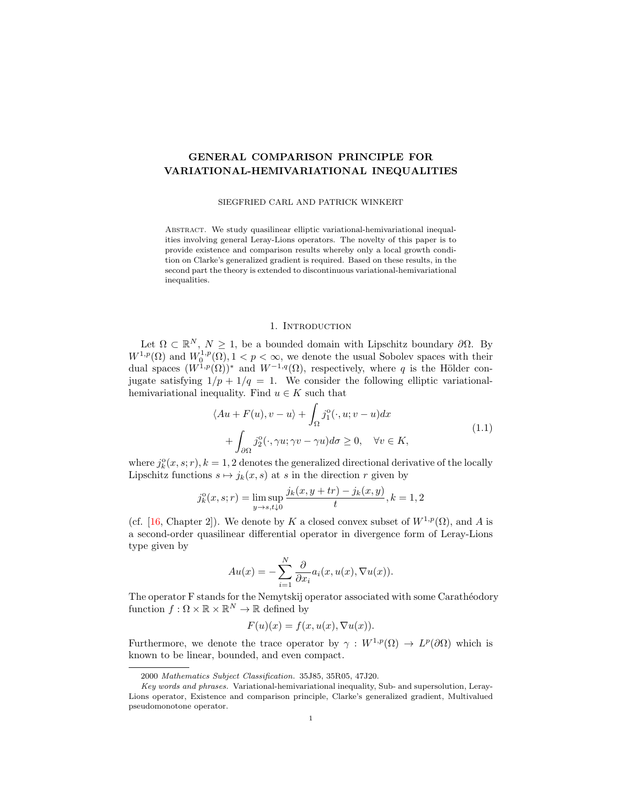# GENERAL COMPARISON PRINCIPLE FOR VARIATIONAL-HEMIVARIATIONAL INEQUALITIES

SIEGFRIED CARL AND PATRICK WINKERT

ABSTRACT. We study quasilinear elliptic variational-hemivariational inequalities involving general Leray-Lions operators. The novelty of this paper is to provide existence and comparison results whereby only a local growth condition on Clarke's generalized gradient is required. Based on these results, in the second part the theory is extended to discontinuous variational-hemivariational inequalities.

## <span id="page-0-0"></span>1. INTRODUCTION

<span id="page-0-1"></span>Let  $\Omega \subset \mathbb{R}^N$ ,  $N \geq 1$ , be a bounded domain with Lipschitz boundary  $\partial \Omega$ . By  $W^{1,p}(\Omega)$  and  $W_0^{1,p}(\Omega), 1 \leq p \leq \infty$ , we denote the usual Sobolev spaces with their dual spaces  $(W^{1,p}(\Omega))^*$  and  $W^{-1,q}(\Omega)$ , respectively, where q is the Hölder conjugate satisfying  $1/p + 1/q = 1$ . We consider the following elliptic variationalhemivariational inequality. Find  $u \in K$  such that

$$
\langle Au + F(u), v - u \rangle + \int_{\Omega} j_1^o(\cdot, u; v - u) dx + \int_{\partial\Omega} j_2^o(\cdot, \gamma u; \gamma v - \gamma u) d\sigma \ge 0, \quad \forall v \in K,
$$
\n(1.1)

where  $j_k^{\circ}(x, s; r), k = 1, 2$  denotes the generalized directional derivative of the locally Lipschitz functions  $s \mapsto j_k(x, s)$  at s in the direction r given by

$$
j_k^{\circ}(x, s; r) = \limsup_{y \to s, t \downarrow 0} \frac{j_k(x, y + tr) - j_k(x, y)}{t}, k = 1, 2
$$

(cf. [\[16,](#page-24-0) Chapter 2]). We denote by K a closed convex subset of  $W^{1,p}(\Omega)$ , and A is a second-order quasilinear differential operator in divergence form of Leray-Lions type given by

$$
Au(x) = -\sum_{i=1}^{N} \frac{\partial}{\partial x_i} a_i(x, u(x), \nabla u(x)).
$$

The operator F stands for the Nemytskij operator associated with some Carathéodory function  $f: \Omega \times \mathbb{R} \times \mathbb{R}^N \to \mathbb{R}$  defined by

$$
F(u)(x) = f(x, u(x), \nabla u(x)).
$$

Furthermore, we denote the trace operator by  $\gamma : W^{1,p}(\Omega) \to L^p(\partial\Omega)$  which is known to be linear, bounded, and even compact.

<sup>2000</sup> Mathematics Subject Classification. 35J85, 35R05, 47J20.

Key words and phrases. Variational-hemivariational inequality, Sub- and supersolution, Leray-Lions operator, Existence and comparison principle, Clarke's generalized gradient, Multivalued pseudomonotone operator.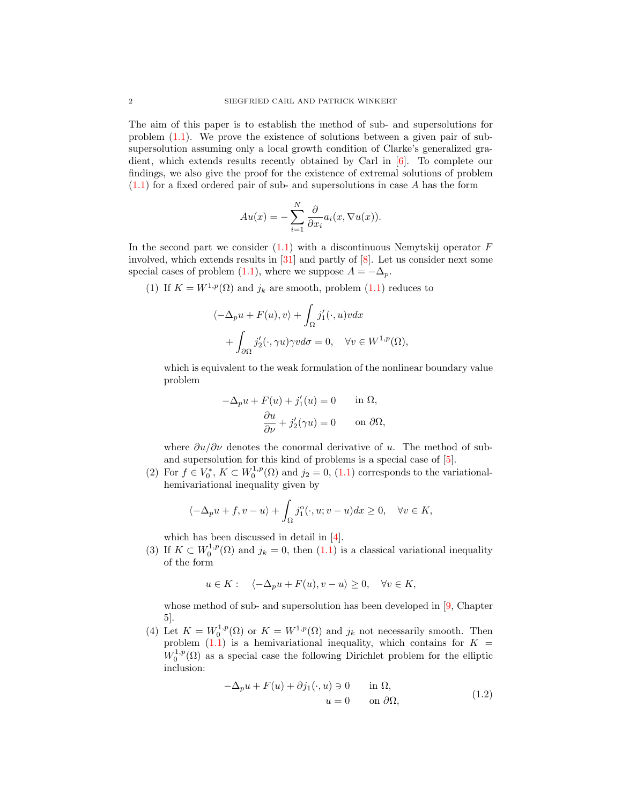The aim of this paper is to establish the method of sub- and supersolutions for problem [\(1.1\)](#page-0-0). We prove the existence of solutions between a given pair of subsupersolution assuming only a local growth condition of Clarke's generalized gradient, which extends results recently obtained by Carl in [\[6\]](#page-24-1). To complete our findings, we also give the proof for the existence of extremal solutions of problem  $(1.1)$  for a fixed ordered pair of sub- and supersolutions in case A has the form

$$
Au(x) = -\sum_{i=1}^{N} \frac{\partial}{\partial x_i} a_i(x, \nabla u(x)).
$$

In the second part we consider  $(1.1)$  with a discontinuous Nemytskij operator  $F$ involved, which extends results in [\[31\]](#page-25-0) and partly of [\[8\]](#page-24-2). Let us consider next some special cases of problem [\(1.1\)](#page-0-0), where we suppose  $A = -\Delta_p$ .

(1) If  $K = W^{1,p}(\Omega)$  and  $j_k$  are smooth, problem [\(1.1\)](#page-0-0) reduces to

$$
\langle -\Delta_p u + F(u), v \rangle + \int_{\Omega} j_1'(\cdot, u) v dx + \int_{\partial \Omega} j_2'(\cdot, \gamma u) \gamma v d\sigma = 0, \quad \forall v \in W^{1, p}(\Omega),
$$

which is equivalent to the weak formulation of the nonlinear boundary value problem

$$
-\Delta_p u + F(u) + j'_1(u) = 0 \quad \text{in } \Omega,
$$
  

$$
\frac{\partial u}{\partial \nu} + j'_2(\gamma u) = 0 \quad \text{on } \partial \Omega,
$$

where  $\partial u/\partial v$  denotes the conormal derivative of u. The method of suband supersolution for this kind of problems is a special case of [\[5\]](#page-24-3).

(2) For  $f \in V_0^*$ ,  $K \subset W_0^{1,p}(\Omega)$  and  $j_2 = 0$ , [\(1.1\)](#page-0-0) corresponds to the variationalhemivariational inequality given by

$$
\langle -\Delta_p u + f, v - u \rangle + \int_{\Omega} j_1^{\circ}(\cdot, u; v - u) dx \ge 0, \quad \forall v \in K,
$$

which has been discussed in detail in [\[4\]](#page-24-4).

(3) If  $K \subset W_0^{1,p}(\Omega)$  and  $j_k = 0$ , then  $(1.1)$  is a classical variational inequality of the form

$$
u \in K: \quad \langle -\Delta_p u + F(u), v - u \rangle \ge 0, \quad \forall v \in K,
$$

whose method of sub- and supersolution has been developed in [\[9,](#page-24-5) Chapter 5].

(4) Let  $K = W_0^{1,p}(\Omega)$  or  $K = W^{1,p}(\Omega)$  and  $j_k$  not necessarily smooth. Then problem  $(1.1)$  is a hemivariational inequality, which contains for  $K =$  $W_0^{1,p}(\Omega)$  as a special case the following Dirichlet problem for the elliptic inclusion:

<span id="page-1-0"></span>
$$
-\Delta_p u + F(u) + \partial j_1(\cdot, u) \ni 0 \quad \text{in } \Omega,
$$
  
\n
$$
u = 0 \quad \text{on } \partial \Omega,
$$
\n(1.2)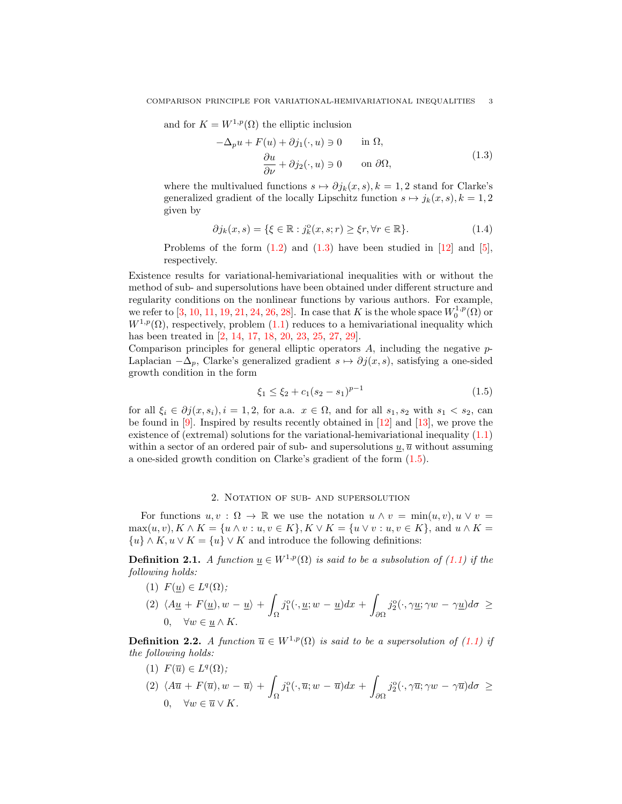and for  $K = W^{1,p}(\Omega)$  the elliptic inclusion

<span id="page-2-0"></span>
$$
-\Delta_p u + F(u) + \partial j_1(\cdot, u) \ni 0 \quad \text{in } \Omega,
$$
  

$$
\frac{\partial u}{\partial \nu} + \partial j_2(\cdot, u) \ni 0 \quad \text{on } \partial \Omega,
$$
 (1.3)

where the multivalued functions  $s \mapsto \partial j_k(x, s), k = 1, 2$  stand for Clarke's generalized gradient of the locally Lipschitz function  $s \mapsto j_k(x, s), k = 1, 2$ given by

<span id="page-2-3"></span>
$$
\partial j_k(x, s) = \{ \xi \in \mathbb{R} : j_k^{\circ}(x, s; r) \ge \xi r, \forall r \in \mathbb{R} \}. \tag{1.4}
$$

Problems of the form  $(1.2)$  and  $(1.3)$  have been studied in  $[12]$  and  $[5]$ , respectively.

Existence results for variational-hemivariational inequalities with or without the method of sub- and supersolutions have been obtained under different structure and regularity conditions on the nonlinear functions by various authors. For example, we refer to [\[3,](#page-24-7) [10,](#page-24-8) [11,](#page-24-9) [19,](#page-25-1) [21,](#page-25-2) [24,](#page-25-3) [26,](#page-25-4) [28\]](#page-25-5). In case that K is the whole space  $W_0^{1,p}(\Omega)$  or  $W^{1,p}(\Omega)$ , respectively, problem [\(1.1\)](#page-0-0) reduces to a hemivariational inequality which has been treated in [\[2,](#page-24-10) [14,](#page-24-11) [17,](#page-25-6) [18,](#page-25-7) [20,](#page-25-8) [23,](#page-25-9) [25,](#page-25-10) [27,](#page-25-11) [29\]](#page-25-12).

Comparison principles for general elliptic operators  $A$ , including the negative  $p$ -Laplacian  $-\Delta_p$ , Clarke's generalized gradient  $s \mapsto \partial j(x, s)$ , satisfying a one-sided growth condition in the form

<span id="page-2-1"></span>
$$
\xi_1 \le \xi_2 + c_1 (s_2 - s_1)^{p-1} \tag{1.5}
$$

for all  $\xi_i \in \partial j(x, s_i), i = 1, 2$ , for a.a.  $x \in \Omega$ , and for all  $s_1, s_2$  with  $s_1 < s_2$ , can be found in [\[9\]](#page-24-5). Inspired by results recently obtained in [\[12\]](#page-24-6) and [\[13\]](#page-24-12), we prove the existence of (extremal) solutions for the variational-hemivariational inequality [\(1.1\)](#page-0-0) within a sector of an ordered pair of sub- and supersolutions  $u, \overline{u}$  without assuming a one-sided growth condition on Clarke's gradient of the form [\(1.5\)](#page-2-1).

### 2. Notation of sub- and supersolution

For functions  $u, v : \Omega \to \mathbb{R}$  we use the notation  $u \wedge v = \min(u, v), u \vee v =$  $\max(u, v), K \wedge K = \{u \wedge v : u, v \in K\}, K \vee K = \{u \vee v : u, v \in K\}, \text{ and } u \wedge K =$  $\{u\} \wedge K, u \vee K = \{u\} \vee K$  and introduce the following definitions:

**Definition 2.1.** A function  $u \in W^{1,p}(\Omega)$  is said to be a subsolution of [\(1.1\)](#page-0-0) if the following holds:

(1) 
$$
F(\underline{u}) \in L^{q}(\Omega);
$$
  
\n(2)  $\langle A\underline{u} + F(\underline{u}), w - \underline{u} \rangle + \int_{\Omega} j_{1}^{o}(\cdot, \underline{u}; w - \underline{u}) dx + \int_{\partial\Omega} j_{2}^{o}(\cdot, \gamma \underline{u}; \gamma w - \gamma \underline{u}) d\sigma \ge$   
\n0,  $\forall w \in \underline{u} \wedge K.$ 

<span id="page-2-2"></span>**Definition 2.2.** A function  $\overline{u} \in W^{1,p}(\Omega)$  is said to be a supersolution of [\(1.1\)](#page-0-0) if the following holds:

(1) 
$$
F(\overline{u}) \in L^{q}(\Omega);
$$
  
\n(2)  $\langle A\overline{u} + F(\overline{u}), w - \overline{u} \rangle + \int_{\Omega} j_{1}^{o}(\cdot, \overline{u}; w - \overline{u}) dx + \int_{\partial\Omega} j_{2}^{o}(\cdot, \gamma \overline{u}; \gamma w - \gamma \overline{u}) d\sigma \ge 0, \quad \forall w \in \overline{u} \vee K.$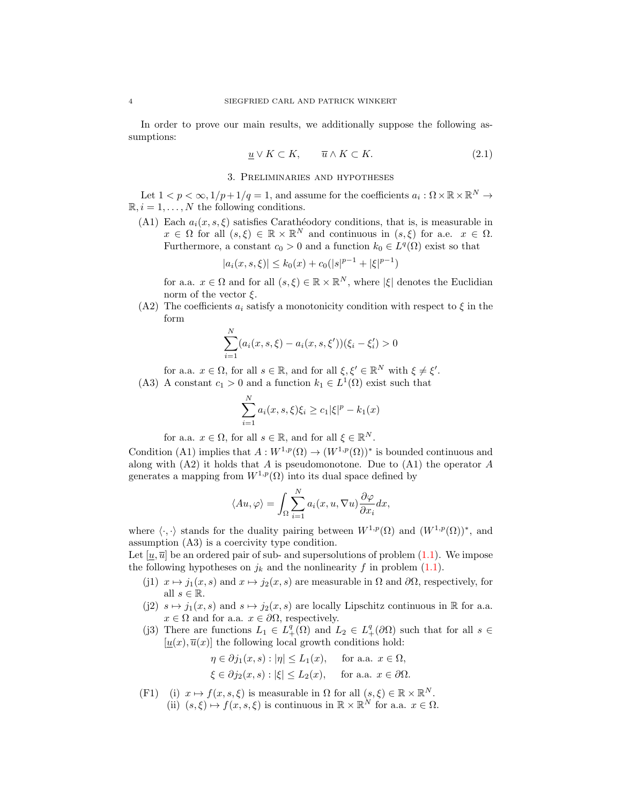In order to prove our main results, we additionally suppose the following assumptions:

<span id="page-3-0"></span>
$$
\underline{u} \vee K \subset K, \qquad \overline{u} \wedge K \subset K. \tag{2.1}
$$

## 3. Preliminaries and hypotheses

<span id="page-3-1"></span>Let  $1 < p < \infty, 1/p + 1/q = 1$ , and assume for the coefficients  $a_i : \Omega \times \mathbb{R} \times \mathbb{R}^N \to$  $\mathbb{R}, i = 1, \ldots, N$  the following conditions.

(A1) Each  $a_i(x, s, \xi)$  satisfies Carathéodory conditions, that is, is measurable in  $x \in \Omega$  for all  $(s,\xi) \in \mathbb{R} \times \mathbb{R}^N$  and continuous in  $(s,\xi)$  for a.e.  $x \in \Omega$ . Furthermore, a constant  $c_0 > 0$  and a function  $k_0 \in L^q(\Omega)$  exist so that

$$
|a_i(x, s, \xi)| \le k_0(x) + c_0(|s|^{p-1} + |\xi|^{p-1})
$$

for a.a.  $x \in \Omega$  and for all  $(s, \xi) \in \mathbb{R} \times \mathbb{R}^N$ , where  $|\xi|$  denotes the Euclidian norm of the vector  $\xi$ .

(A2) The coefficients  $a_i$  satisfy a monotonicity condition with respect to  $\xi$  in the form

$$
\sum_{i=1}^{N} (a_i(x, s, \xi) - a_i(x, s, \xi'))(\xi_i - \xi'_i) > 0
$$

for a.a.  $x \in \Omega$ , for all  $s \in \mathbb{R}$ , and for all  $\xi, \xi' \in \mathbb{R}^N$  with  $\xi \neq \xi'$ .

(A3) A constant  $c_1 > 0$  and a function  $k_1 \in L^1(\Omega)$  exist such that

$$
\sum_{i=1}^{N} a_i(x, s, \xi) \xi_i \ge c_1 |\xi|^p - k_1(x)
$$

for a.a.  $x \in \Omega$ , for all  $s \in \mathbb{R}$ , and for all  $\xi \in \mathbb{R}^N$ .

Condition (A1) implies that  $A: W^{1,p}(\Omega) \to (W^{1,p}(\Omega))^*$  is bounded continuous and along with  $(A2)$  it holds that A is pseudomonotone. Due to  $(A1)$  the operator A generates a mapping from  $W^{1,p}(\Omega)$  into its dual space defined by

$$
\langle Au, \varphi \rangle = \int_{\Omega} \sum_{i=1}^{N} a_i(x, u, \nabla u) \frac{\partial \varphi}{\partial x_i} dx,
$$

where  $\langle \cdot, \cdot \rangle$  stands for the duality pairing between  $W^{1,p}(\Omega)$  and  $(W^{1,p}(\Omega))^*$ , and assumption (A3) is a coercivity type condition.

Let  $[u, \overline{u}]$  be an ordered pair of sub- and supersolutions of problem [\(1.1\)](#page-0-0). We impose the following hypotheses on  $j_k$  and the nonlinearity f in problem [\(1.1\)](#page-0-0).

- (j1)  $x \mapsto j_1(x, s)$  and  $x \mapsto j_2(x, s)$  are measurable in  $\Omega$  and  $\partial\Omega$ , respectively, for all  $s \in \mathbb{R}$ .
- (j2)  $s \mapsto j_1(x, s)$  and  $s \mapsto j_2(x, s)$  are locally Lipschitz continuous in R for a.a.  $x \in \Omega$  and for a.a.  $x \in \partial\Omega$ , respectively.
- (j3) There are functions  $L_1 \in L_+^q(\Omega)$  and  $L_2 \in L_+^q(\partial\Omega)$  such that for all  $s \in$  $[u(x), \overline{u}(x)]$  the following local growth conditions hold:

$$
\eta \in \partial j_1(x, s) : |\eta| \le L_1(x), \quad \text{for a.a. } x \in \Omega,
$$
  

$$
\xi \in \partial j_2(x, s) : |\xi| \le L_2(x), \quad \text{for a.a. } x \in \partial \Omega.
$$

(F1) (i)  $x \mapsto f(x, s, \xi)$  is measurable in  $\Omega$  for all  $(s, \xi) \in \mathbb{R} \times \mathbb{R}^N$ . (ii)  $(s,\xi) \mapsto f(x,s,\xi)$  is continuous in  $\mathbb{R} \times \mathbb{R}^N$  for a.a.  $x \in \Omega$ .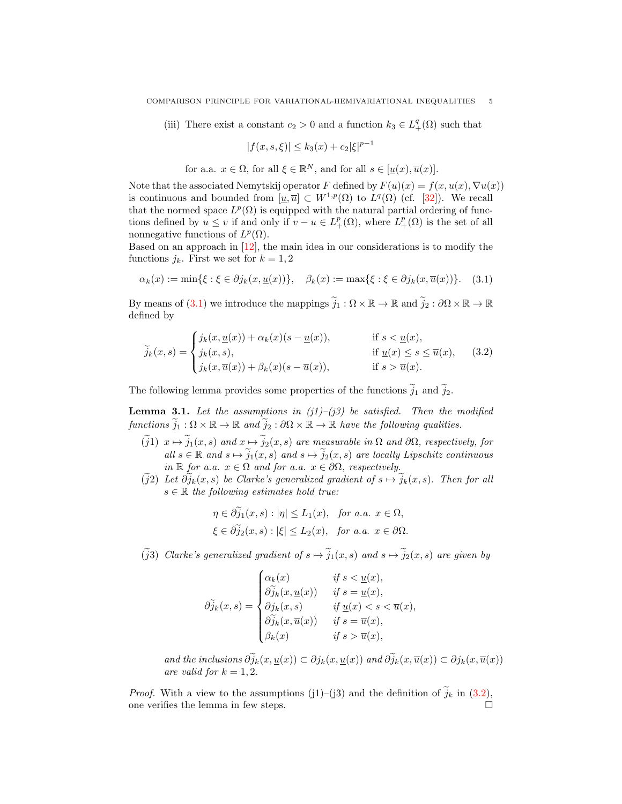(iii) There exist a constant  $c_2 > 0$  and a function  $k_3 \in L_+^q(\Omega)$  such that

<span id="page-4-1"></span><span id="page-4-0"></span>
$$
|f(x, s, \xi)| \le k_3(x) + c_2 |\xi|^{p-1}
$$

for a.a.  $x \in \Omega$ , for all  $\xi \in \mathbb{R}^N$ , and for all  $s \in [\underline{u}(x), \overline{u}(x)]$ .

Note that the associated Nemytskij operator F defined by  $F(u)(x) = f(x, u(x), \nabla u(x))$ is continuous and bounded from  $[\underline{u}, \overline{u}] \subset W^{1,p}(\Omega)$  to  $L^q(\Omega)$  (cf. [\[32\]](#page-25-13)). We recall that the normed space  $L^p(\Omega)$  is equipped with the natural partial ordering of functions defined by  $u \leq v$  if and only if  $v - u \in L^p_+(\Omega)$ , where  $L^p_+(\Omega)$  is the set of all nonnegative functions of  $L^p(\Omega)$ .

Based on an approach in  $[12]$ , the main idea in our considerations is to modify the functions  $j_k$ . First we set for  $k = 1, 2$ 

$$
\alpha_k(x) := \min\{\xi : \xi \in \partial j_k(x, \underline{u}(x))\}, \quad \beta_k(x) := \max\{\xi : \xi \in \partial j_k(x, \overline{u}(x))\}.
$$
 (3.1)

By means of [\(3.1\)](#page-4-0) we introduce the mappings  $\widetilde{j}_1 : \Omega \times \mathbb{R} \to \mathbb{R}$  and  $\widetilde{j}_2 : \partial \Omega \times \mathbb{R} \to \mathbb{R}$ defined by

$$
\widetilde{j}_k(x,s) = \begin{cases}\nj_k(x,\underline{u}(x)) + \alpha_k(x)(s - \underline{u}(x)), & \text{if } s < \underline{u}(x), \\
j_k(x,s), & \text{if } \underline{u}(x) \le s \le \overline{u}(x), \\
j_k(x,\overline{u}(x)) + \beta_k(x)(s - \overline{u}(x)), & \text{if } s > \overline{u}(x).\n\end{cases} \tag{3.2}
$$

The following lemma provides some properties of the functions  $\tilde{j}_1$  and  $\tilde{j}_2$ .

<span id="page-4-2"></span>**Lemma 3.1.** Let the assumptions in  $(j1)$ – $(j3)$  be satisfied. Then the modified functions  $\tilde{j}_1 : \Omega \times \mathbb{R} \to \mathbb{R}$  and  $\tilde{j}_2 : \partial \Omega \times \mathbb{R} \to \mathbb{R}$  have the following qualities.

- $(\tilde{j}1)$   $x \mapsto \tilde{j}_1(x, s)$  and  $x \mapsto \tilde{j}_2(x, s)$  are measurable in  $\Omega$  and  $\partial\Omega$ , respectively, for all  $s \in \mathbb{R}$  and  $s \mapsto \tilde{j}_1(x, s)$  and  $s \mapsto \tilde{j}_2(x, s)$  are locally Lipschitz continuous in  $\mathbb R$  for a.a.  $x \in \Omega$  and for a.a.  $x \in \partial\Omega$ , respectively.
- $(\tilde{j}2)$  Let  $\partial \tilde{j}_k(x, s)$  be Clarke's generalized gradient of  $s \mapsto \tilde{j}_k(x, s)$ . Then for all  $s \in \mathbb{R}$  the following estimates hold true:

$$
\eta \in \partial j_1(x, s) : |\eta| \le L_1(x), \text{ for a.a. } x \in \Omega,
$$
  

$$
\xi \in \partial \tilde{j}_2(x, s) : |\xi| \le L_2(x), \text{ for a.a. } x \in \partial \Omega.
$$

( $\tilde{j}$ 3) Clarke's generalized gradient of  $s \mapsto \tilde{j}_1(x, s)$  and  $s \mapsto \tilde{j}_2(x, s)$  are given by

$$
\widetilde{\partial}_{jk}(x,s) = \begin{cases}\n\alpha_k(x) & \text{if } s < \underline{u}(x), \\
\widehat{\partial}_{jk}(x,\underline{u}(x)) & \text{if } s = \underline{u}(x), \\
\partial_{jk}(x,s) & \text{if } \underline{u}(x) < s < \overline{u}(x), \\
\widehat{\partial}_{jk}(x,\overline{u}(x)) & \text{if } s = \overline{u}(x), \\
\beta_k(x) & \text{if } s > \overline{u}(x),\n\end{cases}
$$

and the inclusions  $\partial \widetilde{j}_k(x, \underline{u}(x)) \subset \partial j_k(x, \underline{u}(x))$  and  $\partial \widetilde{j}_k(x, \overline{u}(x)) \subset \partial j_k(x, \overline{u}(x))$ are valid for  $k = 1, 2$ .

*Proof.* With a view to the assumptions (j1)–(j3) and the definition of  $\tilde{j}_k$  in [\(3.2\)](#page-4-1), one verifies the lemma in few steps.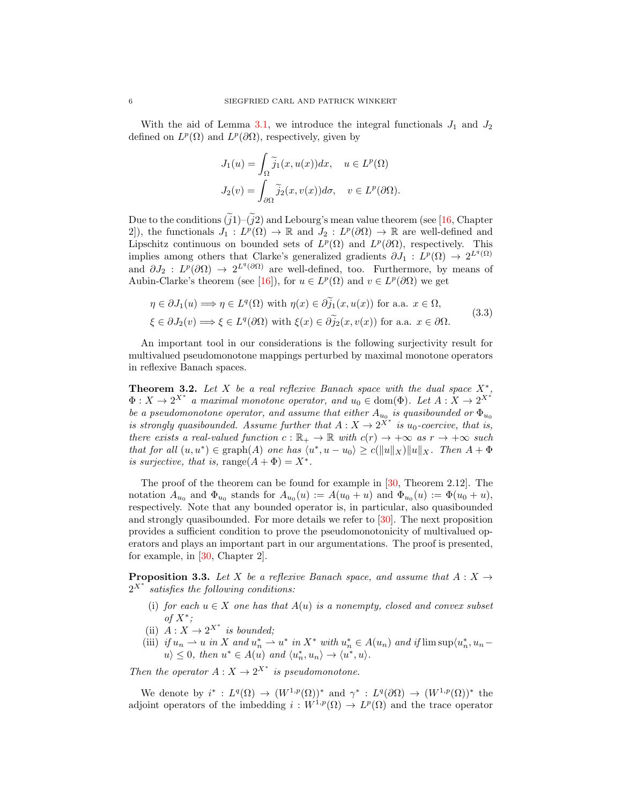With the aid of Lemma [3.1,](#page-4-2) we introduce the integral functionals  $J_1$  and  $J_2$ defined on  $L^p(\Omega)$  and  $L^p(\partial\Omega)$ , respectively, given by

<span id="page-5-1"></span>
$$
J_1(u) = \int_{\Omega} \tilde{j}_1(x, u(x)) dx, \quad u \in L^p(\Omega)
$$
  

$$
J_2(v) = \int_{\partial \Omega} \tilde{j}_2(x, v(x)) d\sigma, \quad v \in L^p(\partial \Omega).
$$

Due to the conditions  $(i1)$ – $(i2)$  and Lebourg's mean value theorem (see [\[16,](#page-24-0) Chapter 2), the functionals  $J_1: L^p(\Omega) \to \mathbb{R}$  and  $J_2: L^p(\partial\Omega) \to \mathbb{R}$  are well-defined and Lipschitz continuous on bounded sets of  $L^p(\Omega)$  and  $L^p(\partial\Omega)$ , respectively. This implies among others that Clarke's generalized gradients  $\partial J_1 : L^p(\Omega) \to 2^{L^q(\Omega)}$ and  $\partial J_2$ :  $L^p(\partial\Omega) \to 2^{L^q(\partial\Omega)}$  are well-defined, too. Furthermore, by means of Aubin-Clarke's theorem (see [\[16\]](#page-24-0)), for  $u \in L^p(\Omega)$  and  $v \in L^p(\partial\Omega)$  we get

$$
\eta \in \partial J_1(u) \Longrightarrow \eta \in L^q(\Omega) \text{ with } \eta(x) \in \partial \widetilde{j}_1(x, u(x)) \text{ for a.a. } x \in \Omega,
$$
  

$$
\xi \in \partial J_2(v) \Longrightarrow \xi \in L^q(\partial \Omega) \text{ with } \xi(x) \in \partial \widetilde{j}_2(x, v(x)) \text{ for a.a. } x \in \partial \Omega.
$$
 (3.3)

An important tool in our considerations is the following surjectivity result for multivalued pseudomonotone mappings perturbed by maximal monotone operators in reflexive Banach spaces.

<span id="page-5-0"></span>**Theorem 3.2.** Let X be a real reflexive Banach space with the dual space  $X^*$ ,  $\Phi: X \to 2^{X^*}$  a maximal monotone operator, and  $u_0 \in \text{dom}(\Phi)$ . Let  $A: X \to 2^{X^*}$ be a pseudomonotone operator, and assume that either  $A_{u_0}$  is quasibounded or  $\Phi_{u_0}$ is strongly quasibounded. Assume further that  $A: X \to 2^{X^*}$  is  $u_0$ -coercive, that is, there exists a real-valued function  $c : \mathbb{R}_+ \to \mathbb{R}$  with  $c(r) \to +\infty$  as  $r \to +\infty$  such that for all  $(u, u^*) \in \text{graph}(A)$  one has  $\langle u^*, u - u_0 \rangle \ge c(||u||_X) ||u||_X$ . Then  $A + \Phi$ is surjective, that is, range $(A + \Phi) = X^*$ .

The proof of the theorem can be found for example in [\[30,](#page-25-14) Theorem 2.12]. The notation  $A_{u_0}$  and  $\Phi_{u_0}$  stands for  $A_{u_0}(u) := A(u_0 + u)$  and  $\Phi_{u_0}(u) := \Phi(u_0 + u)$ , respectively. Note that any bounded operator is, in particular, also quasibounded and strongly quasibounded. For more details we refer to [\[30\]](#page-25-14). The next proposition provides a sufficient condition to prove the pseudomonotonicity of multivalued operators and plays an important part in our argumentations. The proof is presented, for example, in [\[30,](#page-25-14) Chapter 2].

**Proposition 3.3.** Let X be a reflexive Banach space, and assume that  $A: X \rightarrow$  $2^{X^*}$  satisfies the following conditions:

- (i) for each  $u \in X$  one has that  $A(u)$  is a nonempty, closed and convex subset of  $X^*$ ;
- (ii)  $A: X \to 2^{X^*}$  is bounded;
- (iii) if  $u_n \rightharpoonup u$  in X and  $u_n^* \rightharpoonup u^*$  in  $X^*$  with  $u_n^* \in A(u_n)$  and if  $\limsup \langle u_n^*, u_n$  $u \geq 0$ , then  $u^* \in A(u)$  and  $\langle u_n^*, u_n \rangle \to \langle u^*, u \rangle$ .

Then the operator  $A: X \to 2^{X^*}$  is pseudomonotone.

We denote by  $i^*: L^q(\Omega) \to (W^{1,p}(\Omega))^*$  and  $\gamma^*: L^q(\partial \Omega) \to (W^{1,p}(\Omega))^*$  the adjoint operators of the imbedding  $i: W^{1,p}(\Omega) \to L^p(\Omega)$  and the trace operator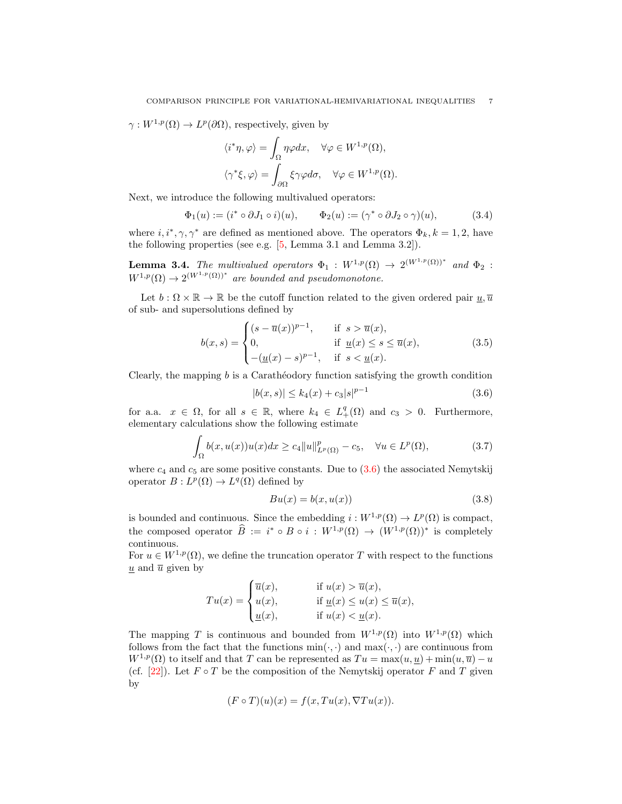$\gamma: W^{1,p}(\Omega) \to L^p(\partial\Omega)$ , respectively, given by

<span id="page-6-3"></span>
$$
\langle i^*\eta, \varphi \rangle = \int_{\Omega} \eta \varphi dx, \quad \forall \varphi \in W^{1,p}(\Omega),
$$

$$
\langle \gamma^* \xi, \varphi \rangle = \int_{\partial \Omega} \xi \gamma \varphi d\sigma, \quad \forall \varphi \in W^{1,p}(\Omega).
$$

Next, we introduce the following multivalued operators:

$$
\Phi_1(u) := (i^* \circ \partial J_1 \circ i)(u), \qquad \Phi_2(u) := (\gamma^* \circ \partial J_2 \circ \gamma)(u), \tag{3.4}
$$

where  $i, i^*, \gamma, \gamma^*$  are defined as mentioned above. The operators  $\Phi_k, k = 1, 2$ , have the following properties (see e.g. [\[5,](#page-24-3) Lemma 3.1 and Lemma 3.2]).

<span id="page-6-1"></span>**Lemma 3.4.** The multivalued operators  $\Phi_1 : W^{1,p}(\Omega) \to 2^{(W^{1,p}(\Omega))^*}$  and  $\Phi_2$ :  $W^{1,p}(\Omega) \to 2^{(W^{1,p}(\Omega))^*}$  are bounded and pseudomonotone.

Let  $b : \Omega \times \mathbb{R} \to \mathbb{R}$  be the cutoff function related to the given ordered pair  $u, \overline{u}$ of sub- and supersolutions defined by

$$
b(x,s) = \begin{cases} (s - \overline{u}(x))^{p-1}, & \text{if } s > \overline{u}(x), \\ 0, & \text{if } \underline{u}(x) \le s \le \overline{u}(x), \\ -(\underline{u}(x) - s)^{p-1}, & \text{if } s < \underline{u}(x). \end{cases}
$$
(3.5)

Clearly, the mapping  $b$  is a Caratheodory function satisfying the growth condition

<span id="page-6-4"></span><span id="page-6-0"></span>
$$
|b(x,s)| \le k_4(x) + c_3|s|^{p-1} \tag{3.6}
$$

for a.a.  $x \in \Omega$ , for all  $s \in \mathbb{R}$ , where  $k_4 \in L_+^q(\Omega)$  and  $c_3 > 0$ . Furthermore, elementary calculations show the following estimate

$$
\int_{\Omega} b(x, u(x))u(x)dx \ge c_4 \|u\|_{L^p(\Omega)}^p - c_5, \quad \forall u \in L^p(\Omega),\tag{3.7}
$$

where  $c_4$  and  $c_5$  are some positive constants. Due to  $(3.6)$  the associated Nemytskij operator  $B: L^p(\Omega) \to L^q(\Omega)$  defined by

<span id="page-6-5"></span><span id="page-6-2"></span>
$$
Bu(x) = b(x, u(x))
$$
\n(3.8)

is bounded and continuous. Since the embedding  $i: W^{1,p}(\Omega) \to L^p(\Omega)$  is compact, the composed operator  $\widehat{B} := i^* \circ B \circ i : W^{1,p}(\Omega) \to (W^{1,p}(\Omega))^*$  is completely continuous.

For  $u \in W^{1,p}(\Omega)$ , we define the truncation operator T with respect to the functions  $\underline{u}$  and  $\overline{u}$  given by

$$
Tu(x) = \begin{cases} \overline{u}(x), & \text{if } u(x) > \overline{u}(x), \\ u(x), & \text{if } \underline{u}(x) \le u(x) \le \overline{u}(x), \\ \underline{u}(x), & \text{if } u(x) < \underline{u}(x). \end{cases}
$$

The mapping T is continuous and bounded from  $W^{1,p}(\Omega)$  into  $W^{1,p}(\Omega)$  which follows from the fact that the functions  $min(\cdot, \cdot)$  and  $max(\cdot, \cdot)$  are continuous from  $W^{1,p}(\Omega)$  to itself and that T can be represented as  $Tu = \max(u, \underline{u}) + \min(u, \overline{u}) - u$ (cf. [\[22\]](#page-25-15)). Let  $F \circ T$  be the composition of the Nemytskij operator  $F$  and  $T$  given by

$$
(F \circ T)(u)(x) = f(x, Tu(x), \nabla Tu(x)).
$$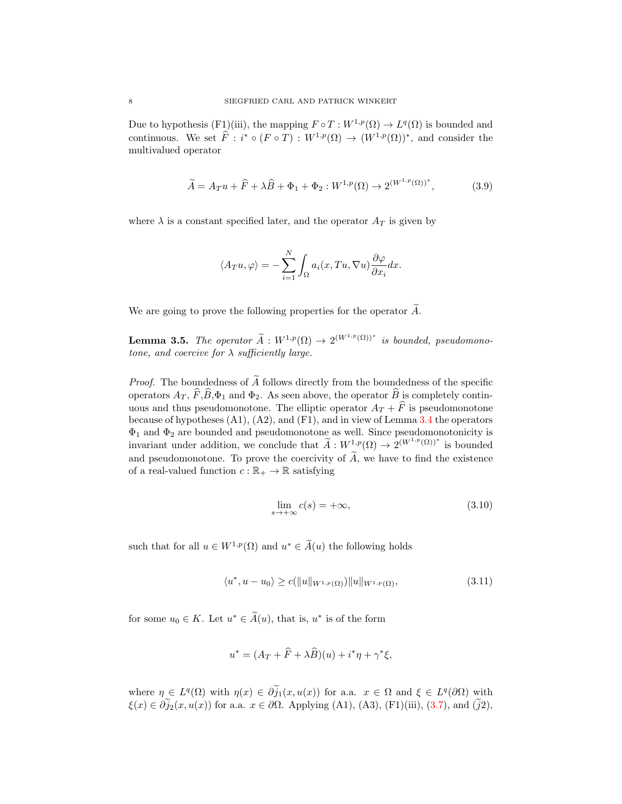Due to hypothesis (F1)(iii), the mapping  $F \circ T : W^{1,p}(\Omega) \to L^q(\Omega)$  is bounded and continuous. We set  $\widehat{F}$  :  $i^* \circ (F \circ T) : W^{1,p}(\Omega) \to (W^{1,p}(\Omega))^*$ , and consider the multivalued operator

$$
\widetilde{A} = A_T u + \widehat{F} + \lambda \widehat{B} + \Phi_1 + \Phi_2 : W^{1,p}(\Omega) \to 2^{(W^{1,p}(\Omega))^*},
$$
\n(3.9)

where  $\lambda$  is a constant specified later, and the operator  $A_T$  is given by

<span id="page-7-2"></span>
$$
\langle A_T u, \varphi \rangle = -\sum_{i=1}^N \int_{\Omega} a_i(x, Tu, \nabla u) \frac{\partial \varphi}{\partial x_i} dx.
$$

We are going to prove the following properties for the operator  $\widetilde{A}$ .

<span id="page-7-3"></span>**Lemma 3.5.** The operator  $\widetilde{A}: W^{1,p}(\Omega) \to 2^{(W^{1,p}(\Omega))^*}$  is bounded, pseudomonotone, and coercive for  $\lambda$  sufficiently large.

*Proof.* The boundedness of  $\widetilde{A}$  follows directly from the boundedness of the specific operators  $A_T$ ,  $\widehat{F}, \widehat{B}, \Phi_1$  and  $\Phi_2$ . As seen above, the operator  $\widehat{B}$  is completely continuous and thus pseudomonotone. The elliptic operator  $A_T + \widehat{F}$  is pseudomonotone because of hypotheses  $(A1)$ ,  $(A2)$ , and  $(F1)$ , and in view of Lemma [3.4](#page-6-1) the operators  $\Phi_1$  and  $\Phi_2$  are bounded and pseudomonotone as well. Since pseudomonotonicity is invariant under addition, we conclude that  $\widetilde{A}: W^{1,p}(\Omega) \to 2^{(W^{1,p}(\Omega))^*}$  is bounded and pseudomonotone. To prove the coercivity of  $\widetilde{A}$ , we have to find the existence of a real-valued function  $c : \mathbb{R}_+ \to \mathbb{R}$  satisfying

<span id="page-7-1"></span><span id="page-7-0"></span>
$$
\lim_{s \to +\infty} c(s) = +\infty,\tag{3.10}
$$

such that for all  $u \in W^{1,p}(\Omega)$  and  $u^* \in \widetilde{A}(u)$  the following holds

$$
\langle u^*, u - u_0 \rangle \ge c(||u||_{W^{1,p}(\Omega)}) ||u||_{W^{1,p}(\Omega)},
$$
\n(3.11)

for some  $u_0 \in K$ . Let  $u^* \in \tilde{A}(u)$ , that is,  $u^*$  is of the form

$$
u^* = (A_T + \widehat{F} + \lambda \widehat{B})(u) + i^* \eta + \gamma^* \xi,
$$

where  $\eta \in L^q(\Omega)$  with  $\eta(x) \in \partial \widetilde{j}_1(x, u(x))$  for a.a.  $x \in \Omega$  and  $\xi \in L^q(\partial \Omega)$  with  $\xi(x) \in \partial \widetilde{j}_2(x, u(x))$  for a.a.  $x \in \partial \Omega$ . Applying (A1), (A3), (F1)(iii), [\(3.7\)](#page-6-2), and ( $\widetilde{j}_2$ ),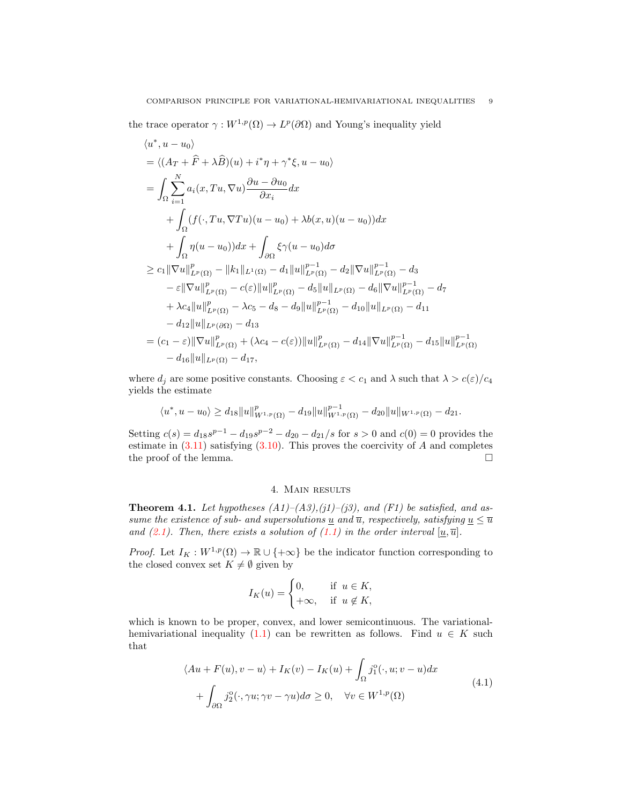the trace operator  $\gamma: W^{1,p}(\Omega) \to L^p(\partial\Omega)$  and Young's inequality yield

$$
\langle u^*, u - u_0 \rangle
$$
  
=\langle (A<sub>T</sub> +  $\hat{F}$  +  $\lambda \hat{B}$ )(u) +  $i^* \eta + \gamma^* \xi$ , u – u<sub>0</sub>\rangle  
=  $\int_{\Omega} \sum_{i=1}^{N} a_i (x, Tu, \nabla u) \frac{\partial u - \partial u_0}{\partial x_i} dx$   
+  $\int_{\Omega} (f(\cdot, Tu, \nabla Tu)(u - u_0) + \lambda b(x, u)(u - u_0)) dx$   
+  $\int_{\Omega} \eta (u - u_0) dx + \int_{\partial \Omega} \xi \gamma (u - u_0) d\sigma$   
 $\geq c_1 ||\nabla u||_{L^p(\Omega)}^p - ||k_1||_{L^1(\Omega)} - d_1 ||u||_{L^p(\Omega)}^{p-1} - d_2 ||\nabla u||_{L^p(\Omega)}^{p-1} - d_3$   
-  $\varepsilon ||\nabla u||_{L^p(\Omega)}^p - c(\varepsilon) ||u||_{L^p(\Omega)}^p - d_5 ||u||_{L^p(\Omega)} - d_6 ||\nabla u||_{L^p(\Omega)}^{p-1} - d_7$   
+  $\lambda c_4 ||u||_{L^p(\Omega)}^p - \lambda c_5 - d_8 - d_9 ||u||_{L^p(\Omega)}^p - d_{10} ||u||_{L^p(\Omega)} - d_{11}$   
-  $d_{12} ||u||_{L^p(\partial \Omega)} - d_{13}$   
=  $(c_1 - \varepsilon) ||\nabla u||_{L^p(\Omega)}^p + (\lambda c_4 - c(\varepsilon)) ||u||_{L^p(\Omega)}^p - d_{14} ||\nabla u||_{L^p(\Omega)}^{p-1} - d_{15} ||u||_{L^p(\Omega)}^{p-1}$   
-  $d_{16} ||u||_{L^p(\Omega)} - d_{17}$ ,

where  $d_i$  are some positive constants. Choosing  $\varepsilon < c_1$  and  $\lambda$  such that  $\lambda > c(\varepsilon)/c_4$ yields the estimate

$$
\langle u^*, u - u_0 \rangle \ge d_{18} \|u\|_{W^{1,p}(\Omega)}^p - d_{19} \|u\|_{W^{1,p}(\Omega)}^{p-1} - d_{20} \|u\|_{W^{1,p}(\Omega)} - d_{21}.
$$

Setting  $c(s) = d_{18} s^{p-1} - d_{19} s^{p-2} - d_{20} - d_{21}/s$  for  $s > 0$  and  $c(0) = 0$  provides the estimate in  $(3.11)$  satisfying  $(3.10)$ . This proves the coercivity of A and completes the proof of the lemma.  $\Box$ 

## 4. Main results

<span id="page-8-2"></span><span id="page-8-0"></span>**Theorem 4.1.** Let hypotheses  $(A1)$ – $(A3)$ , $(j1)$ – $(j3)$ , and  $(F1)$  be satisfied, and assume the existence of sub- and supersolutions  $\underline{u}$  and  $\overline{u}$ , respectively, satisfying  $\underline{u} \leq \overline{u}$ and [\(2.1\)](#page-3-0). Then, there exists a solution of [\(1.1\)](#page-0-0) in the order interval  $[\underline{u}, \overline{u}]$ .

*Proof.* Let  $I_K : W^{1,p}(\Omega) \to \mathbb{R} \cup \{+\infty\}$  be the indicator function corresponding to the closed convex set  $K \neq \emptyset$  given by

<span id="page-8-1"></span>
$$
I_K(u) = \begin{cases} 0, & \text{if } u \in K, \\ +\infty, & \text{if } u \notin K, \end{cases}
$$

which is known to be proper, convex, and lower semicontinuous. The variational-hemivariational inequality [\(1.1\)](#page-0-0) can be rewritten as follows. Find  $u \in K$  such that

$$
\langle Au + F(u), v - u \rangle + I_K(v) - I_K(u) + \int_{\Omega} j_1^o(\cdot, u; v - u) dx + \int_{\partial\Omega} j_2^o(\cdot, \gamma u; \gamma v - \gamma u) d\sigma \ge 0, \quad \forall v \in W^{1, p}(\Omega)
$$
\n(4.1)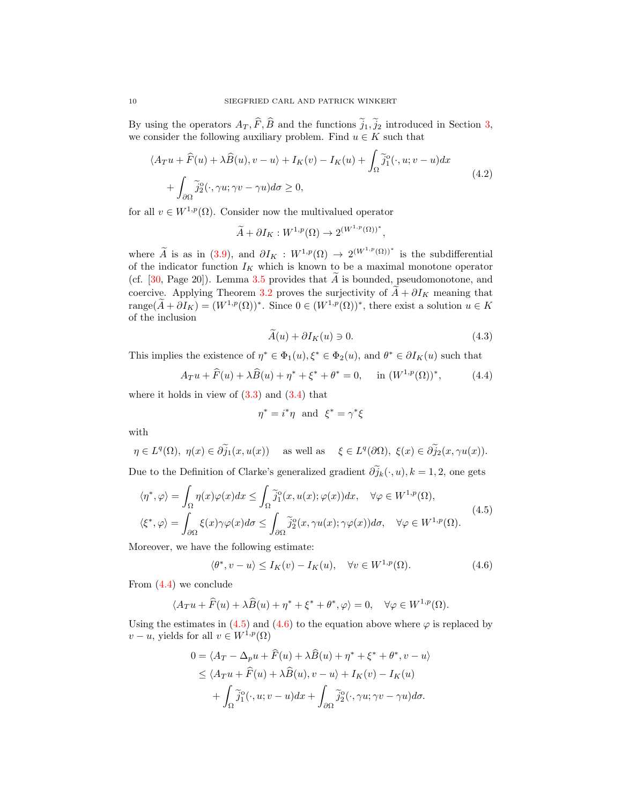By using the operators  $A_T, \widehat{F}, \widehat{B}$  and the functions  $\widetilde{j}_1, \widetilde{j}_2$  introduced in Section [3,](#page-3-1) we consider the following auxiliary problem. Find  $u \in K$  such that

$$
\langle A_T u + \widehat{F}(u) + \lambda \widehat{B}(u), v - u \rangle + I_K(v) - I_K(u) + \int_{\Omega} \widetilde{j}_1^o(\cdot, u; v - u) dx + \int_{\partial \Omega} \widetilde{j}_2^o(\cdot, \gamma u; \gamma v - \gamma u) d\sigma \ge 0,
$$
\n(4.2)

for all  $v \in W^{1,p}(\Omega)$ . Consider now the multivalued operator

<span id="page-9-3"></span>
$$
\widetilde{A} + \partial I_K : W^{1,p}(\Omega) \to 2^{(W^{1,p}(\Omega))^*},
$$

where  $\widetilde{A}$  is as in [\(3.9\)](#page-7-2), and  $\partial I_K : W^{1,p}(\Omega) \to 2^{(W^{1,p}(\Omega))^*}$  is the subdifferential of the indicator function  $I_K$  which is known to be a maximal monotone operator (cf.  $[30, Page 20]$  $[30, Page 20]$ ). Lemma [3.5](#page-7-3) provides that  $\widetilde{A}$  is bounded, pseudomonotone, and coercive. Applying Theorem [3.2](#page-5-0) proves the surjectivity of  $\ddot{A} + \partial I_K$  meaning that range( $\widetilde{A} + \partial I_K$ ) =  $(W^{1,p}(\Omega))^*$ . Since  $0 \in (W^{1,p}(\Omega))^*$ , there exist a solution  $u \in K$ of the inclusion

<span id="page-9-4"></span><span id="page-9-0"></span>
$$
\tilde{A}(u) + \partial I_K(u) \ni 0. \tag{4.3}
$$

This implies the existence of  $\eta^* \in \Phi_1(u), \xi^* \in \Phi_2(u)$ , and  $\theta^* \in \partial I_K(u)$  such that

$$
A_T u + \widehat{F}(u) + \lambda \widehat{B}(u) + \eta^* + \xi^* + \theta^* = 0, \quad \text{in } (W^{1,p}(\Omega))^*,
$$
 (4.4)

where it holds in view of  $(3.3)$  and  $(3.4)$  that

<span id="page-9-2"></span><span id="page-9-1"></span>
$$
\eta^* = i^* \eta \text{ and } \xi^* = \gamma^* \xi
$$

with

$$
\eta \in L^{q}(\Omega), \ \eta(x) \in \partial \widetilde{j}_{1}(x, u(x)) \quad \text{ as well as } \quad \xi \in L^{q}(\partial \Omega), \ \xi(x) \in \partial \widetilde{j}_{2}(x, \gamma u(x)).
$$
  
Due to the Definition of Clarke's generalized gradient  $\partial \widetilde{j}_{k}(\cdot, u), k = 1, 2$ , one gets

$$
\langle \eta^*, \varphi \rangle = \int_{\Omega} \eta(x) \varphi(x) dx \le \int_{\Omega} \tilde{j}_1^{\circ}(x, u(x); \varphi(x)) dx, \quad \forall \varphi \in W^{1, p}(\Omega),
$$
  

$$
\langle \xi^*, \varphi \rangle = \int_{\partial \Omega} \xi(x) \gamma \varphi(x) d\sigma \le \int_{\partial \Omega} \tilde{j}_2^{\circ}(x, \gamma u(x); \gamma \varphi(x)) d\sigma, \quad \forall \varphi \in W^{1, p}(\Omega).
$$
 (4.5)

Moreover, we have the following estimate:

$$
\langle \theta^*, v - u \rangle \le I_K(v) - I_K(u), \quad \forall v \in W^{1,p}(\Omega). \tag{4.6}
$$

From [\(4.4\)](#page-9-0) we conclude

$$
\langle A_T u + \widehat{F}(u) + \lambda \widehat{B}(u) + \eta^* + \xi^* + \theta^*, \varphi \rangle = 0, \quad \forall \varphi \in W^{1,p}(\Omega).
$$

Using the estimates in [\(4.5\)](#page-9-1) and [\(4.6\)](#page-9-2) to the equation above where  $\varphi$  is replaced by  $v - u$ , yields for all  $v \in W^{1,p}(\Omega)$ 

$$
0 = \langle A_T - \Delta_p u + \widehat{F}(u) + \lambda \widehat{B}(u) + \eta^* + \xi^* + \theta^*, v - u \rangle
$$
  
\n
$$
\leq \langle A_T u + \widehat{F}(u) + \lambda \widehat{B}(u), v - u \rangle + I_K(v) - I_K(u)
$$
  
\n
$$
+ \int_{\Omega} \widetilde{j}_1^o(\cdot, u; v - u) dx + \int_{\partial \Omega} \widetilde{j}_2^o(\cdot, \gamma u; \gamma v - \gamma u) d\sigma.
$$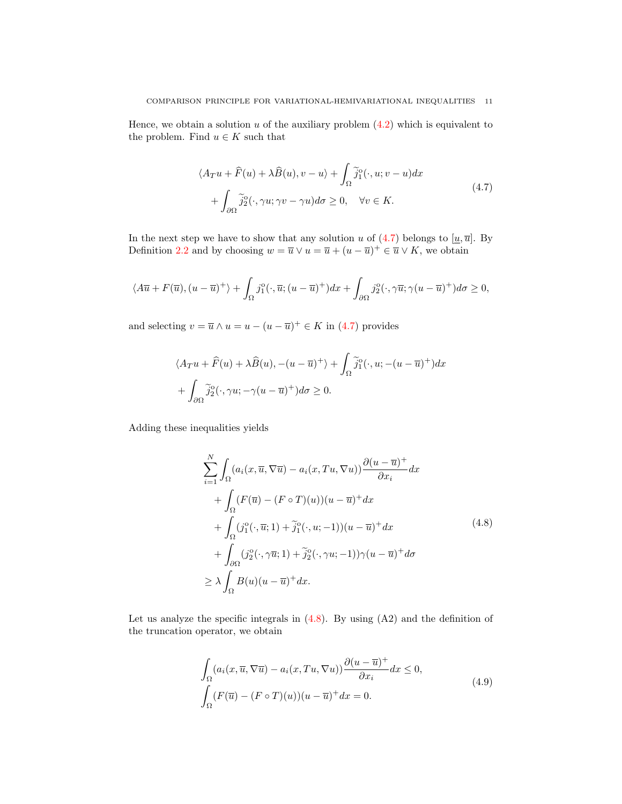Hence, we obtain a solution  $u$  of the auxiliary problem  $(4.2)$  which is equivalent to the problem. Find  $u \in K$  such that

<span id="page-10-0"></span>
$$
\langle A_T u + \widehat{F}(u) + \lambda \widehat{B}(u), v - u \rangle + \int_{\Omega} \widetilde{j}_1^o(\cdot, u; v - u) dx + \int_{\partial \Omega} \widetilde{j}_2^o(\cdot, \gamma u; \gamma v - \gamma u) d\sigma \ge 0, \quad \forall v \in K.
$$
 (4.7)

In the next step we have to show that any solution u of [\(4.7\)](#page-10-0) belongs to  $[\underline{u}, \overline{u}]$ . By Definition [2.2](#page-2-2) and by choosing  $w = \overline{u} \vee u = \overline{u} + (u - \overline{u})^+ \in \overline{u} \vee K$ , we obtain

$$
\langle A\overline{u} + F(\overline{u}), (u - \overline{u})^+ \rangle + \int_{\Omega} j_1^{\circ}(\cdot, \overline{u}; (u - \overline{u})^+) dx + \int_{\partial\Omega} j_2^{\circ}(\cdot, \gamma \overline{u}; \gamma (u - \overline{u})^+) d\sigma \ge 0,
$$

and selecting  $v = \overline{u} \wedge u = u - (u - \overline{u})^+ \in K$  in [\(4.7\)](#page-10-0) provides

$$
\langle A_T u + \widehat{F}(u) + \lambda \widehat{B}(u), -(u - \overline{u})^+ \rangle + \int_{\Omega} \widetilde{j}_1^o(\cdot, u; -(u - \overline{u})^+) dx
$$
  
+ 
$$
\int_{\partial \Omega} \widetilde{j}_2^o(\cdot, \gamma u; -\gamma (u - \overline{u})^+) d\sigma \ge 0.
$$

Adding these inequalities yields

<span id="page-10-1"></span>
$$
\sum_{i=1}^{N} \int_{\Omega} (a_i(x, \overline{u}, \nabla \overline{u}) - a_i(x, Tu, \nabla u)) \frac{\partial (u - \overline{u})^+}{\partial x_i} dx \n+ \int_{\Omega} (F(\overline{u}) - (F \circ T)(u))(u - \overline{u})^+ dx \n+ \int_{\Omega} (j_1^o(\cdot, \overline{u}; 1) + \tilde{j}_1^o(\cdot, u; -1))(u - \overline{u})^+ dx \n+ \int_{\partial \Omega} (j_2^o(\cdot, \gamma \overline{u}; 1) + \tilde{j}_2^o(\cdot, \gamma u; -1)) \gamma (u - \overline{u})^+ d\sigma \n\geq \lambda \int_{\Omega} B(u)(u - \overline{u})^+ dx.
$$
\n(4.8)

Let us analyze the specific integrals in  $(4.8)$ . By using  $(A2)$  and the definition of the truncation operator, we obtain

<span id="page-10-2"></span>
$$
\int_{\Omega} (a_i(x, \overline{u}, \nabla \overline{u}) - a_i(x, Tu, \nabla u)) \frac{\partial (u - \overline{u})^+}{\partial x_i} dx \le 0,
$$
\n
$$
\int_{\Omega} (F(\overline{u}) - (F \circ T)(u))(u - \overline{u})^+ dx = 0.
$$
\n(4.9)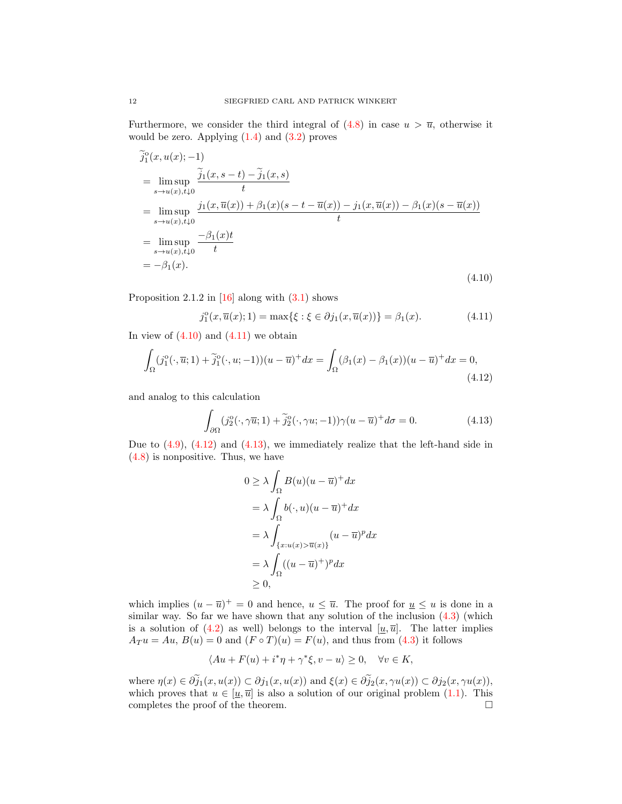Furthermore, we consider the third integral of  $(4.8)$  in case  $u > \overline{u}$ , otherwise it would be zero. Applying  $(1.4)$  and  $(3.2)$  proves

$$
\tilde{j}_{1}^{0}(x, u(x); -1)
$$
\n
$$
= \limsup_{s \to u(x), t \downarrow 0} \frac{\tilde{j}_{1}(x, s - t) - \tilde{j}_{1}(x, s)}{t}
$$
\n
$$
= \limsup_{s \to u(x), t \downarrow 0} \frac{j_{1}(x, \overline{u}(x)) + \beta_{1}(x)(s - t - \overline{u}(x)) - j_{1}(x, \overline{u}(x)) - \beta_{1}(x)(s - \overline{u}(x))}{t}
$$
\n
$$
= \limsup_{s \to u(x), t \downarrow 0} \frac{-\beta_{1}(x)t}{t}
$$
\n
$$
= -\beta_{1}(x).
$$
\n(4.10)

Proposition 2.1.2 in  $[16]$  along with  $(3.1)$  shows

<span id="page-11-1"></span><span id="page-11-0"></span>
$$
j_1^{\circ}(x,\overline{u}(x);1) = \max\{\xi : \xi \in \partial j_1(x,\overline{u}(x))\} = \beta_1(x). \tag{4.11}
$$

In view of  $(4.10)$  and  $(4.11)$  we obtain

$$
\int_{\Omega} (j_1^o(\cdot, \overline{u}; 1) + \tilde{j}_1^o(\cdot, u; -1))(u - \overline{u})^+ dx = \int_{\Omega} (\beta_1(x) - \beta_1(x))(u - \overline{u})^+ dx = 0,
$$
\n(4.12)

and analog to this calculation

$$
\int_{\partial\Omega} (j_2^o(\cdot,\gamma\overline{u};1) + \tilde{j}_2^o(\cdot,\gamma u;-1))\gamma(u-\overline{u})^+d\sigma = 0.
$$
 (4.13)

Due to  $(4.9)$ ,  $(4.12)$  and  $(4.13)$ , we immediately realize that the left-hand side in [\(4.8\)](#page-10-1) is nonpositive. Thus, we have

<span id="page-11-3"></span><span id="page-11-2"></span>
$$
0 \ge \lambda \int_{\Omega} B(u)(u - \overline{u})^{+} dx
$$
  
=  $\lambda \int_{\Omega} b(\cdot, u)(u - \overline{u})^{+} dx$   
=  $\lambda \int_{\{x: u(x) > \overline{u}(x)\}} (u - \overline{u})^{p} dx$   
=  $\lambda \int_{\Omega} ((u - \overline{u})^{+})^{p} dx$   
 $\ge 0,$ 

which implies  $(u - \overline{u})^+ = 0$  and hence,  $u \leq \overline{u}$ . The proof for  $u \leq u$  is done in a similar way. So far we have shown that any solution of the inclusion  $(4.3)$  (which is a solution of [\(4.2\)](#page-9-3) as well) belongs to the interval  $[u, \overline{u}]$ . The latter implies  $A_T u = Au, B(u) = 0$  and  $(F \circ T)(u) = F(u)$ , and thus from [\(4.3\)](#page-9-4) it follows

$$
\langle Au + F(u) + i^* \eta + \gamma^* \xi, v - u \rangle \ge 0, \quad \forall v \in K,
$$

where  $\eta(x) \in \partial_{J_1}^{\tilde{y}}(x, u(x)) \subset \partial_{J_1}(x, u(x))$  and  $\xi(x) \in \partial_{J_2}^{\tilde{y}}(x, \gamma u(x)) \subset \partial_{J_2}(x, \gamma u(x)),$ which proves that  $u \in [\underline{u}, \overline{u}]$  is also a solution of our original problem [\(1.1\)](#page-0-0). This completes the proof of the theorem.  $\Box$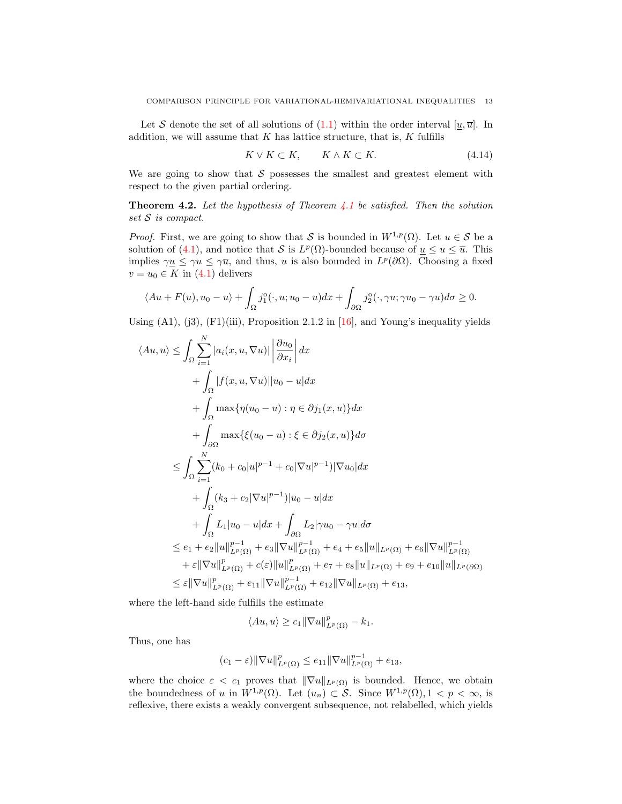Let S denote the set of all solutions of  $(1.1)$  within the order interval  $[u, \overline{u}]$ . In addition, we will assume that  $K$  has lattice structure, that is,  $K$  fulfills

<span id="page-12-0"></span>
$$
K \vee K \subset K, \qquad K \wedge K \subset K. \tag{4.14}
$$

We are going to show that  $\mathcal S$  possesses the smallest and greatest element with respect to the given partial ordering.

<span id="page-12-1"></span>**Theorem 4.2.** Let the hypothesis of Theorem [4.1](#page-8-0) be satisfied. Then the solution set  $S$  is compact.

*Proof.* First, we are going to show that S is bounded in  $W^{1,p}(\Omega)$ . Let  $u \in S$  be a solution of [\(4.1\)](#page-8-1), and notice that S is  $L^p(\Omega)$ -bounded because of  $u \leq u \leq \overline{u}$ . This implies  $\gamma \underline{u} \leq \gamma \overline{u}$ , and thus, u is also bounded in  $L^p(\partial \Omega)$ . Choosing a fixed  $v = u_0 \in K$  in [\(4.1\)](#page-8-1) delivers

$$
\langle Au + F(u), u_0 - u \rangle + \int_{\Omega} j_1^{\circ}(\cdot, u; u_0 - u) dx + \int_{\partial\Omega} j_2^{\circ}(\cdot, \gamma u; \gamma u_0 - \gamma u) d\sigma \ge 0.
$$

Using  $(A1)$ ,  $(j3)$ ,  $(F1)(iii)$ , Proposition 2.1.2 in [\[16\]](#page-24-0), and Young's inequality yields

$$
\langle Au, u \rangle \leq \int_{\Omega} \sum_{i=1}^{N} |a_{i}(x, u, \nabla u)| \left| \frac{\partial u_{0}}{\partial x_{i}} \right| dx + \int_{\Omega} |f(x, u, \nabla u)| |u_{0} - u| dx + \int_{\Omega} \max \{ \eta(u_{0} - u) : \eta \in \partial j_{1}(x, u) \} dx + \int_{\partial \Omega} \max \{ \xi(u_{0} - u) : \xi \in \partial j_{2}(x, u) \} d\sigma \leq \int_{\Omega} \sum_{i=1}^{N} (k_{0} + c_{0}|u|^{p-1} + c_{0}|\nabla u|^{p-1}) |\nabla u_{0}| dx + \int_{\Omega} (k_{3} + c_{2}|\nabla u|^{p-1}) |u_{0} - u| dx + \int_{\Omega} L_{1} |u_{0} - u| dx + \int_{\partial \Omega} L_{2} |\gamma u_{0} - \gamma u| d\sigma \leq e_{1} + e_{2} \|u\|_{L^{p}(\Omega)}^{p-1} + e_{3} \|\nabla u\|_{L^{p}(\Omega)}^{p-1} + e_{4} + e_{5} \|u\|_{L^{p}(\Omega)} + e_{6} \|\nabla u\|_{L^{p}(\Omega)}^{p-1} + \varepsilon \|\nabla u\|_{L^{p}(\Omega)}^{p} + c(\varepsilon) \|u\|_{L^{p}(\Omega)}^{p-1} + e_{7} + e_{8} \|u\|_{L^{p}(\Omega)} + e_{9} + e_{10} \|u\|_{L^{p}(\partial \Omega)} \leq \varepsilon \|\nabla u\|_{L^{p}(\Omega)}^{p} + e_{11} \|\nabla u\|_{L^{p}(\Omega)}^{p-1} + e_{12} \|\nabla u\|_{L^{p}(\Omega)} + e_{13},
$$

where the left-hand side fulfills the estimate

$$
\langle Au, u \rangle \ge c_1 \|\nabla u\|_{L^p(\Omega)}^p - k_1.
$$

Thus, one has

$$
(c_1 - \varepsilon) \|\nabla u\|_{L^p(\Omega)}^p \le e_{11} \|\nabla u\|_{L^p(\Omega)}^{p-1} + e_{13},
$$

where the choice  $\varepsilon < c_1$  proves that  $\|\nabla u\|_{L^p(\Omega)}$  is bounded. Hence, we obtain the boundedness of u in  $W^{1,p}(\Omega)$ . Let  $(u_n) \subset S$ . Since  $W^{1,p}(\Omega)$ ,  $1 < p < \infty$ , is reflexive, there exists a weakly convergent subsequence, not relabelled, which yields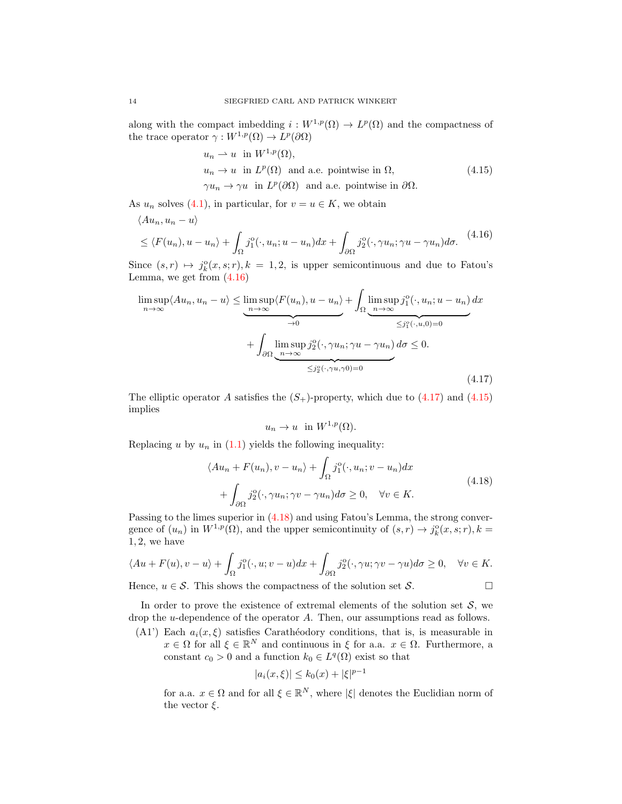along with the compact imbedding  $i: W^{1,p}(\Omega) \to L^p(\Omega)$  and the compactness of the trace operator  $\gamma: W^{1,p}(\Omega) \to L^p(\partial\Omega)$ 

<span id="page-13-2"></span><span id="page-13-0"></span>
$$
u_n \rightharpoonup u \text{ in } W^{1,p}(\Omega),
$$
  
\n
$$
u_n \to u \text{ in } L^p(\Omega) \text{ and a.e. pointwise in } \Omega,
$$
  
\n
$$
\gamma u_n \to \gamma u \text{ in } L^p(\partial \Omega) \text{ and a.e. pointwise in } \partial \Omega.
$$
  
\n(4.15)

As  $u_n$  solves [\(4.1\)](#page-8-1), in particular, for  $v = u \in K$ , we obtain

$$
\langle Au_n, u_n - u \rangle
$$
  
\$\le \langle F(u\_n), u - u\_n \rangle + \int\_{\Omega} j\_1^{\circ}(\cdot, u\_n; u - u\_n) dx + \int\_{\partial \Omega} j\_2^{\circ}(\cdot, \gamma u\_n; \gamma u - \gamma u\_n) d\sigma. \quad (4.16)\$

Since  $(s,r) \mapsto j_k^{\circ}(x,s;r)$ ,  $k = 1, 2$ , is upper semicontinuous and due to Fatou's Lemma, we get from [\(4.16\)](#page-13-0)

$$
\limsup_{n \to \infty} \langle Au_n, u_n - u \rangle \leq \underbrace{\limsup_{n \to \infty} \langle F(u_n), u - u_n \rangle}_{\to 0} + \int_{\Omega} \underbrace{\limsup_{n \to \infty} j_1^{\circ}(\cdot, u_n; u - u_n)}_{\leq j_1^{\circ}(\cdot, u, 0) = 0} dx
$$
\n
$$
+ \int_{\partial \Omega} \underbrace{\limsup_{n \to \infty} j_2^{\circ}(\cdot, \gamma u_n; \gamma u - \gamma u_n)}_{\leq j_2^{\circ}(\cdot, \gamma u, \gamma 0) = 0} d\sigma \leq 0.
$$
\n(4.17)

The elliptic operator A satisfies the  $(S_+)$ -property, which due to  $(4.17)$  and  $(4.15)$ implies

<span id="page-13-3"></span><span id="page-13-1"></span>
$$
u_n \to u \text{ in } W^{1,p}(\Omega).
$$

Replacing u by  $u_n$  in [\(1.1\)](#page-0-0) yields the following inequality:

$$
\langle Au_n + F(u_n), v - u_n \rangle + \int_{\Omega} j_1^o(\cdot, u_n; v - u_n) dx + \int_{\partial\Omega} j_2^o(\cdot, \gamma u_n; \gamma v - \gamma u_n) d\sigma \ge 0, \quad \forall v \in K.
$$
 (4.18)

Passing to the limes superior in [\(4.18\)](#page-13-3) and using Fatou's Lemma, the strong convergence of  $(u_n)$  in  $W^{1,p}(\Omega)$ , and the upper semicontinuity of  $(s,r) \to j_k^{\circ}(x,s;r)$ ,  $k =$  $1, 2$ , we have

$$
\langle Au + F(u), v - u \rangle + \int_{\Omega} j_1^{\circ}(\cdot, u; v - u) dx + \int_{\partial \Omega} j_2^{\circ}(\cdot, \gamma u; \gamma v - \gamma u) d\sigma \ge 0, \quad \forall v \in K.
$$

Hence,  $u \in \mathcal{S}$ . This shows the compactness of the solution set  $\mathcal{S}$ .

In order to prove the existence of extremal elements of the solution set  $S$ , we drop the *u*-dependence of the operator A. Then, our assumptions read as follows.

(A1') Each  $a_i(x, \xi)$  satisfies Carathéodory conditions, that is, is measurable in  $x \in \Omega$  for all  $\xi \in \mathbb{R}^N$  and continuous in  $\xi$  for a.a.  $x \in \Omega$ . Furthermore, a constant  $c_0 > 0$  and a function  $k_0 \in L^q(\Omega)$  exist so that

$$
|a_i(x,\xi)| \le k_0(x) + |\xi|^{p-1}
$$

for a.a.  $x \in \Omega$  and for all  $\xi \in \mathbb{R}^N$ , where  $|\xi|$  denotes the Euclidian norm of the vector  $\xi$ .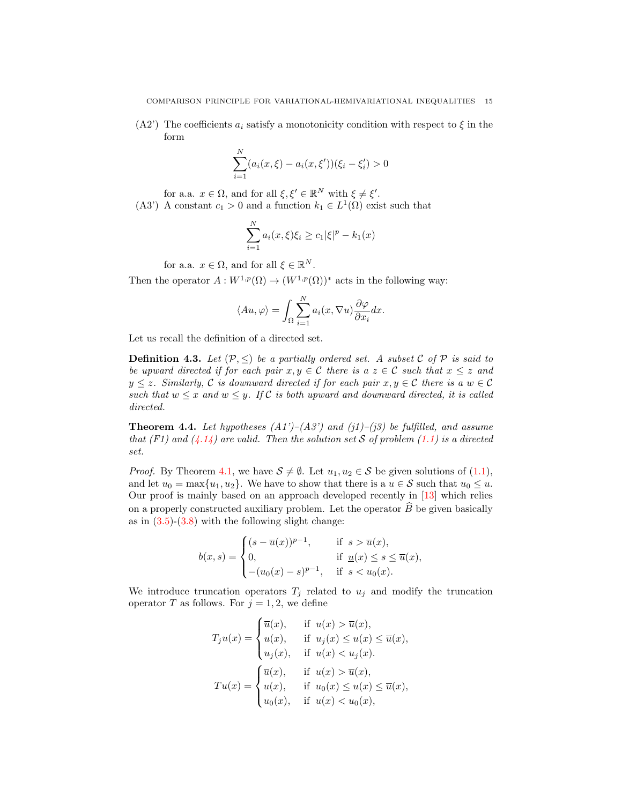$(A2')$  The coefficients  $a_i$  satisfy a monotonicity condition with respect to  $\xi$  in the form

$$
\sum_{i=1}^{N} (a_i(x,\xi) - a_i(x,\xi'))(\xi_i - \xi'_i) > 0
$$

for a.a.  $x \in \Omega$ , and for all  $\xi, \xi' \in \mathbb{R}^N$  with  $\xi \neq \xi'$ .

(A3') A constant  $c_1 > 0$  and a function  $k_1 \in L^1(\Omega)$  exist such that

$$
\sum_{i=1}^{N} a_i(x,\xi)\xi_i \ge c_1 |\xi|^p - k_1(x)
$$

for a.a.  $x \in \Omega$ , and for all  $\xi \in \mathbb{R}^N$ .

Then the operator  $A: W^{1,p}(\Omega) \to (W^{1,p}(\Omega))^*$  acts in the following way:

$$
\langle Au, \varphi \rangle = \int_{\Omega} \sum_{i=1}^{N} a_i(x, \nabla u) \frac{\partial \varphi}{\partial x_i} dx.
$$

Let us recall the definition of a directed set.

**Definition 4.3.** Let  $(\mathcal{P}, \leq)$  be a partially ordered set. A subset C of P is said to be upward directed if for each pair  $x, y \in \mathcal{C}$  there is  $a z \in \mathcal{C}$  such that  $x \leq z$  and  $y \leq z$ . Similarly, C is downward directed if for each pair  $x, y \in C$  there is a  $w \in C$ such that  $w \leq x$  and  $w \leq y$ . If C is both upward and downward directed, it is called directed.

<span id="page-14-0"></span>**Theorem 4.4.** Let hypotheses  $(A1')$ – $(A3')$  and  $(j1)$ – $(j3)$  be fulfilled, and assume that (F1) and  $(4.14)$  are valid. Then the solution set S of problem [\(1.1\)](#page-0-0) is a directed set.

*Proof.* By Theorem [4.1,](#page-8-0) we have  $S \neq \emptyset$ . Let  $u_1, u_2 \in S$  be given solutions of [\(1.1\)](#page-0-0), and let  $u_0 = \max\{u_1, u_2\}$ . We have to show that there is a  $u \in \mathcal{S}$  such that  $u_0 \leq u$ . Our proof is mainly based on an approach developed recently in [\[13\]](#page-24-12) which relies on a properly constructed auxiliary problem. Let the operator  $\hat{B}$  be given basically as in  $(3.5)-(3.8)$  $(3.5)-(3.8)$  $(3.5)-(3.8)$  with the following slight change:

$$
b(x,s) = \begin{cases} (s - \overline{u}(x))^{p-1}, & \text{if } s > \overline{u}(x), \\ 0, & \text{if } \underline{u}(x) \le s \le \overline{u}(x), \\ -(u_0(x) - s)^{p-1}, & \text{if } s < u_0(x). \end{cases}
$$

We introduce truncation operators  $T_j$  related to  $u_j$  and modify the truncation operator T as follows. For  $j = 1, 2$ , we define

$$
T_j u(x) = \begin{cases} \overline{u}(x), & \text{if } u(x) > \overline{u}(x), \\ u(x), & \text{if } u_j(x) \le u(x) \le \overline{u}(x), \\ u_j(x), & \text{if } u(x) < u_j(x). \end{cases}
$$
\n
$$
Tu(x) = \begin{cases} \overline{u}(x), & \text{if } u(x) > \overline{u}(x), \\ u(x), & \text{if } u_0(x) \le u(x) \le \overline{u}(x), \\ u_0(x), & \text{if } u(x) < u_0(x), \end{cases}
$$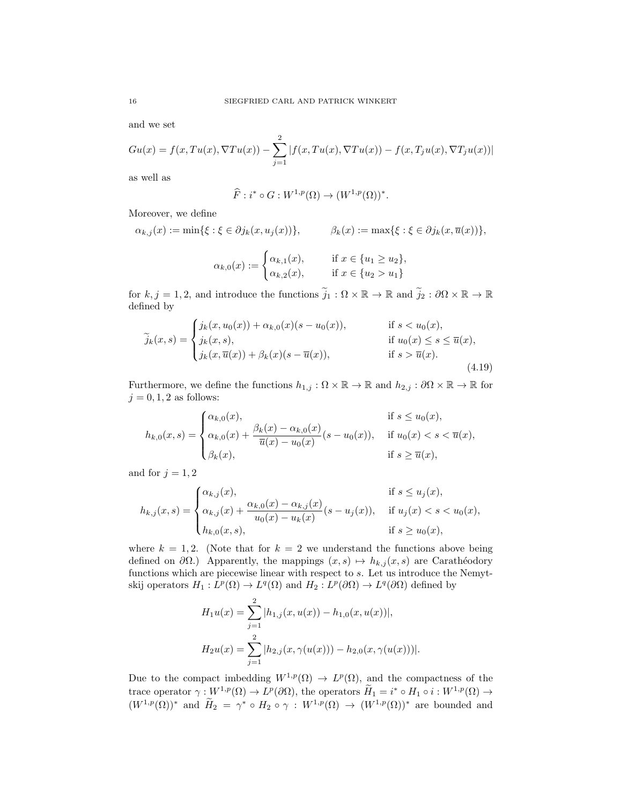and we set

$$
Gu(x) = f(x, Tu(x), \nabla Tu(x)) - \sum_{j=1}^{2} |f(x, Tu(x), \nabla Tu(x)) - f(x, T_j u(x), \nabla T_j u(x))|
$$

as well as

$$
\widehat{F}: i^* \circ G: W^{1,p}(\Omega) \to (W^{1,p}(\Omega))^*.
$$

Moreover, we define

$$
\alpha_{k,j}(x) := \min\{\xi : \xi \in \partial j_k(x, u_j(x))\}, \qquad \beta_k(x) := \max\{\xi : \xi \in \partial j_k(x, \overline{u}(x))\},\
$$

<span id="page-15-0"></span>
$$
\alpha_{k,0}(x) := \begin{cases} \alpha_{k,1}(x), & \text{if } x \in \{u_1 \ge u_2\}, \\ \alpha_{k,2}(x), & \text{if } x \in \{u_2 > u_1\} \end{cases}
$$

for  $k, j = 1, 2$ , and introduce the functions  $\tilde{j}_1 : \Omega \times \mathbb{R} \to \mathbb{R}$  and  $\tilde{j}_2 : \partial \Omega \times \mathbb{R} \to \mathbb{R}$ defined by

$$
\widetilde{j}_{k}(x,s) = \begin{cases}\nj_{k}(x, u_{0}(x)) + \alpha_{k,0}(x)(s - u_{0}(x)), & \text{if } s < u_{0}(x), \\
j_{k}(x,s), & \text{if } u_{0}(x) \leq s \leq \overline{u}(x), \\
j_{k}(x, \overline{u}(x)) + \beta_{k}(x)(s - \overline{u}(x)), & \text{if } s > \overline{u}(x).\n\end{cases}
$$
\n(4.19)

Furthermore, we define the functions  $h_{1,j} : \Omega \times \mathbb{R} \to \mathbb{R}$  and  $h_{2,j} : \partial \Omega \times \mathbb{R} \to \mathbb{R}$  for  $j = 0, 1, 2$  as follows:

$$
h_{k,0}(x,s) = \begin{cases} \alpha_{k,0}(x), & \text{if } s \le u_0(x), \\ \alpha_{k,0}(x) + \frac{\beta_k(x) - \alpha_{k,0}(x)}{\overline{u}(x) - u_0(x)}(s - u_0(x)), & \text{if } u_0(x) < s < \overline{u}(x), \\ \beta_k(x), & \text{if } s \ge \overline{u}(x), \end{cases}
$$

and for  $j = 1, 2$ 

$$
h_{k,j}(x,s) = \begin{cases} \alpha_{k,j}(x), & \text{if } s \le u_j(x), \\ \alpha_{k,j}(x) + \frac{\alpha_{k,0}(x) - \alpha_{k,j}(x)}{u_0(x) - u_k(x)} (s - u_j(x)), & \text{if } u_j(x) < s < u_0(x), \\ h_{k,0}(x,s), & \text{if } s \ge u_0(x), \end{cases}
$$

where  $k = 1, 2$ . (Note that for  $k = 2$  we understand the functions above being defined on  $\partial\Omega$ .) Apparently, the mappings  $(x, s) \mapsto h_{k,j}(x, s)$  are Carathéodory functions which are piecewise linear with respect to s. Let us introduce the Nemytskij operators  $H_1: L^p(\Omega) \to L^q(\Omega)$  and  $H_2: L^p(\partial \Omega) \to L^q(\partial \Omega)$  defined by

$$
H_1 u(x) = \sum_{j=1}^{2} |h_{1,j}(x, u(x)) - h_{1,0}(x, u(x))|,
$$
  
\n
$$
H_2 u(x) = \sum_{j=1}^{2} |h_{2,j}(x, \gamma(u(x))) - h_{2,0}(x, \gamma(u(x)))|.
$$

Due to the compact imbedding  $W^{1,p}(\Omega) \to L^p(\Omega)$ , and the compactness of the trace operator  $\gamma: W^{1,p}(\Omega) \to L^p(\partial\Omega)$ , the operators  $H_1 = i^* \circ H_1 \circ i : W^{1,p}(\Omega) \to$  $(W^{1,p}(\Omega))^*$  and  $\widetilde{H}_2 = \gamma^* \circ H_2 \circ \gamma : W^{1,p}(\Omega) \to (W^{1,p}(\Omega))^*$  are bounded and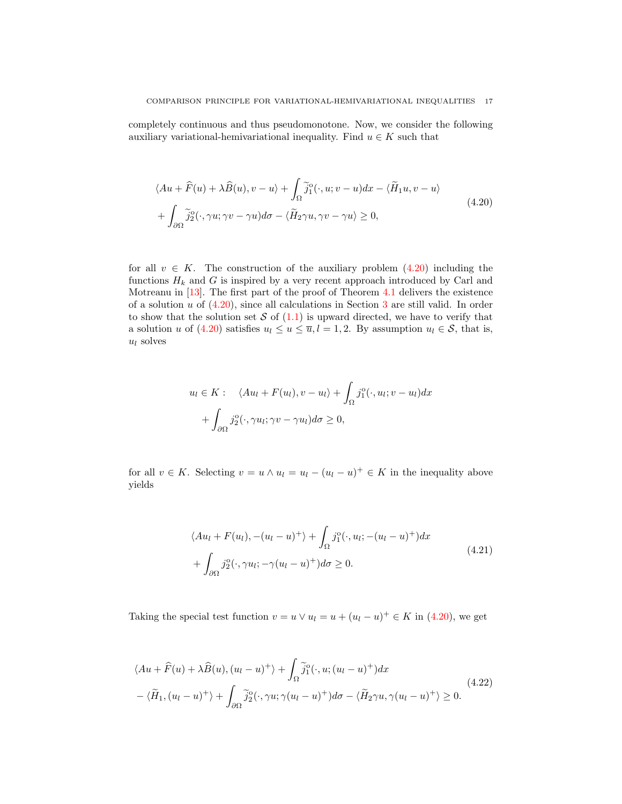completely continuous and thus pseudomonotone. Now, we consider the following auxiliary variational-hemivariational inequality. Find  $u \in K$  such that

<span id="page-16-0"></span>
$$
\langle Au + \widehat{F}(u) + \lambda \widehat{B}(u), v - u \rangle + \int_{\Omega} \widetilde{j}_1^o(\cdot, u; v - u) dx - \langle \widetilde{H}_1 u, v - u \rangle
$$
  
+ 
$$
\int_{\partial \Omega} \widetilde{j}_2^o(\cdot, \gamma u; \gamma v - \gamma u) d\sigma - \langle \widetilde{H}_2 \gamma u, \gamma v - \gamma u \rangle \ge 0,
$$
 (4.20)

for all  $v \in K$ . The construction of the auxiliary problem  $(4.20)$  including the functions  $H_k$  and G is inspired by a very recent approach introduced by Carl and Motreanu in [\[13\]](#page-24-12). The first part of the proof of Theorem [4.1](#page-8-0) delivers the existence of a solution  $u$  of  $(4.20)$ , since all calculations in Section [3](#page-3-1) are still valid. In order to show that the solution set  $S$  of  $(1.1)$  is upward directed, we have to verify that a solution u of [\(4.20\)](#page-16-0) satisfies  $u_l \le u \le \overline{u}, l = 1, 2$ . By assumption  $u_l \in \mathcal{S}$ , that is,  $u_l$  solves

$$
u_l \in K: \quad \langle Au_l + F(u_l), v - u_l \rangle + \int_{\Omega} j_1^o(\cdot, u_l; v - u_l) dx + \int_{\partial \Omega} j_2^o(\cdot, \gamma u_l; \gamma v - \gamma u_l) d\sigma \ge 0,
$$

for all  $v \in K$ . Selecting  $v = u \wedge u_l = u_l - (u_l - u)^+ \in K$  in the inequality above yields

<span id="page-16-2"></span><span id="page-16-1"></span>
$$
\langle Au_l + F(u_l), -(u_l - u)^+ \rangle + \int_{\Omega} j_1^o(\cdot, u_l; -(u_l - u)^+) dx
$$
  
+ 
$$
\int_{\partial \Omega} j_2^o(\cdot, \gamma u_l; -\gamma (u_l - u)^+) d\sigma \ge 0.
$$
 (4.21)

Taking the special test function  $v = u \vee u_l = u + (u_l - u)^+ \in K$  in [\(4.20\)](#page-16-0), we get

$$
\langle Au + \widehat{F}(u) + \lambda \widehat{B}(u), (u_l - u)^+ \rangle + \int_{\Omega} \widetilde{j}_1^o(\cdot, u; (u_l - u)^+) dx
$$
  
 
$$
-\langle \widetilde{H}_1, (u_l - u)^+ \rangle + \int_{\partial \Omega} \widetilde{j}_2^o(\cdot, \gamma u; \gamma (u_l - u)^+) d\sigma - \langle \widetilde{H}_2 \gamma u, \gamma (u_l - u)^+ \rangle \ge 0.
$$
 (4.22)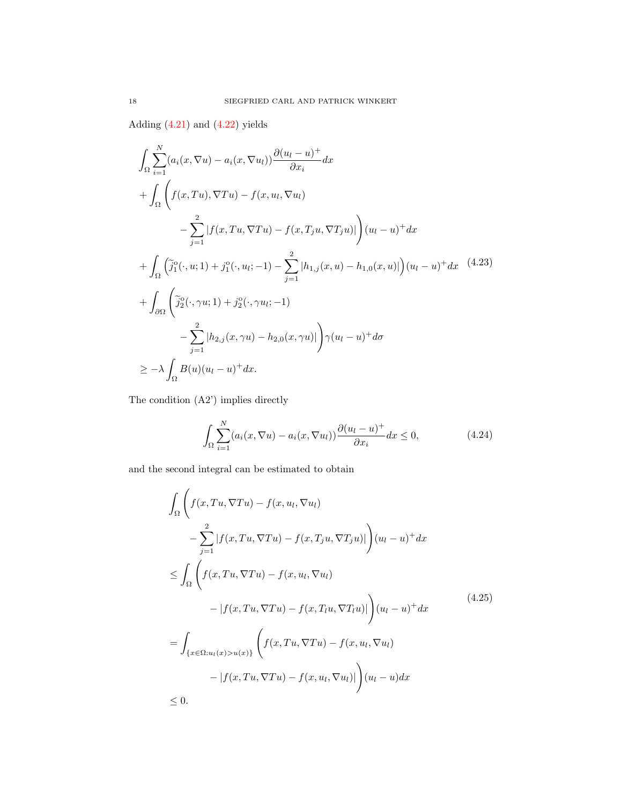Adding  $(4.21)$  and  $(4.22)$  yields

$$
\int_{\Omega} \sum_{i=1}^{N} (a_i(x, \nabla u) - a_i(x, \nabla u_i)) \frac{\partial (u_l - u)^+}{\partial x_i} dx \n+ \int_{\Omega} \left( f(x, Tu), \nabla Tu) - f(x, u_l, \nabla u_l) \n- \sum_{j=1}^{2} |f(x, Tu, \nabla Tu) - f(x, T_j u, \nabla T_j u)| \right) (u_l - u)^+ dx \n+ \int_{\Omega} \left( \tilde{j}_1^0(\cdot, u; 1) + j_1^0(\cdot, u_l; - 1) - \sum_{j=1}^{2} |h_{1,j}(x, u) - h_{1,0}(x, u)| \right) (u_l - u)^+ dx \quad (4.23) \n+ \int_{\partial \Omega} \left( \tilde{j}_2^0(\cdot, \gamma u; 1) + j_2^0(\cdot, \gamma u_l; - 1) - \sum_{j=1}^{2} |h_{2,j}(x, \gamma u) - h_{2,0}(x, \gamma u)| \right) \gamma (u_l - u)^+ d\sigma \n\geq -\lambda \int_{\Omega} B(u)(u_l - u)^+ dx.
$$

The condition (A2') implies directly

<span id="page-17-1"></span><span id="page-17-0"></span>
$$
\int_{\Omega} \sum_{i=1}^{N} (a_i(x, \nabla u) - a_i(x, \nabla u_i)) \frac{\partial (u_i - u)^+}{\partial x_i} dx \le 0,
$$
\n(4.24)

and the second integral can be estimated to obtain

$$
\int_{\Omega} \left( f(x, Tu, \nabla Tu) - f(x, u, \nabla u) \right)
$$
\n
$$
- \sum_{j=1}^{2} |f(x, Tu, \nabla Tu) - f(x, T_j u, \nabla T_j u)| \right) (u_l - u)^+ dx
$$
\n
$$
\leq \int_{\Omega} \left( f(x, Tu, \nabla Tu) - f(x, u, \nabla u) \right)
$$
\n
$$
- |f(x, Tu, \nabla Tu) - f(x, T_l u, \nabla T_l u)| \Big) (u_l - u)^+ dx
$$
\n
$$
= \int_{\{x \in \Omega : u_l(x) > u(x)\}} \left( f(x, Tu, \nabla Tu) - f(x, u_l, \nabla u_l) \right)
$$
\n
$$
- |f(x, Tu, \nabla Tu) - f(x, u_l, \nabla u_l)| \Big) (u_l - u) dx
$$
\n
$$
\leq 0.
$$
\n(4.25)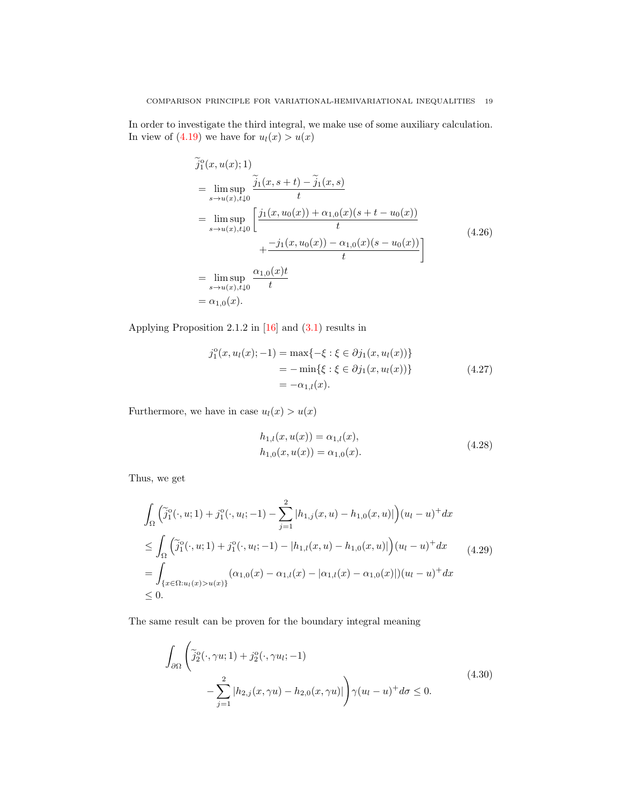In order to investigate the third integral, we make use of some auxiliary calculation. In view of  $(4.19)$  we have for  $u_l(x) > u(x)$ 

$$
\tilde{j}_{1}^{o}(x, u(x); 1)
$$
\n
$$
= \lim_{s \to u(x), t \downarrow 0} \frac{\tilde{j}_{1}(x, s+t) - \tilde{j}_{1}(x, s)}{t}
$$
\n
$$
= \lim_{s \to u(x), t \downarrow 0} \left[ \frac{j_{1}(x, u_{0}(x)) + \alpha_{1,0}(x)(s+t-u_{0}(x))}{t} + \frac{-j_{1}(x, u_{0}(x)) - \alpha_{1,0}(x)(s-u_{0}(x))}{t} \right]
$$
\n
$$
= \lim_{s \to u(x), t \downarrow 0} \frac{\alpha_{1,0}(x)t}{t}
$$
\n
$$
= \alpha_{1,0}(x).
$$
\n(4.26)

Applying Proposition 2.1.2 in [\[16\]](#page-24-0) and [\(3.1\)](#page-4-0) results in

$$
j_1^0(x, u_l(x); -1) = \max\{-\xi : \xi \in \partial j_1(x, u_l(x))\}
$$
  
=  $-\min\{\xi : \xi \in \partial j_1(x, u_l(x))\}$   
=  $-\alpha_{1,l}(x)$ . (4.27)

Furthermore, we have in case  $u_l(x) > u(x)$ 

$$
h_{1,l}(x, u(x)) = \alpha_{1,l}(x),
$$
  
\n
$$
h_{1,0}(x, u(x)) = \alpha_{1,0}(x).
$$
\n(4.28)

Thus, we get

$$
\int_{\Omega} \left( \tilde{j}_1^o(\cdot, u; 1) + j_1^o(\cdot, u_i; -1) - \sum_{j=1}^2 |h_{1,j}(x, u) - h_{1,0}(x, u)| \right) (u_l - u)^+ dx
$$
\n
$$
\leq \int_{\Omega} \left( \tilde{j}_1^o(\cdot, u; 1) + j_1^o(\cdot, u_i; -1) - |h_{1,l}(x, u) - h_{1,0}(x, u)| \right) (u_l - u)^+ dx \qquad (4.29)
$$
\n
$$
= \int_{\{x \in \Omega: u_l(x) > u(x)\}} (\alpha_{1,0}(x) - \alpha_{1,l}(x) - |\alpha_{1,l}(x) - \alpha_{1,0}(x)|) (u_l - u)^+ dx
$$
\n
$$
\leq 0.
$$

The same result can be proven for the boundary integral meaning

<span id="page-18-0"></span>
$$
\int_{\partial\Omega} \left( \tilde{j}_2^o(\cdot, \gamma u; 1) + j_2^o(\cdot, \gamma u_i; -1) - \sum_{j=1}^2 |h_{2,j}(x, \gamma u) - h_{2,0}(x, \gamma u)| \right) \gamma(u_l - u)^+ d\sigma \le 0.
$$
\n(4.30)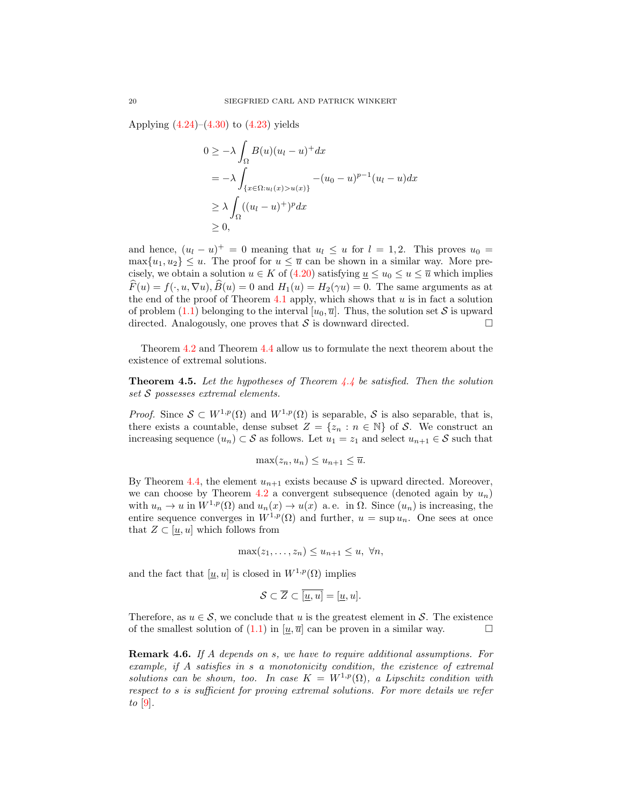Applying  $(4.24)$ – $(4.30)$  to  $(4.23)$  yields

$$
0 \ge -\lambda \int_{\Omega} B(u)(u_l - u)^+ dx
$$
  
=  $-\lambda \int_{\{x \in \Omega : u_l(x) > u(x)\}} -(u_0 - u)^{p-1} (u_l - u) dx$   
 $\ge \lambda \int_{\Omega} ((u_l - u)^+)^p dx$   
 $\ge 0,$ 

and hence,  $(u_l - u)^+ = 0$  meaning that  $u_l \leq u$  for  $l = 1, 2$ . This proves  $u_0 =$  $\max\{u_1, u_2\} \leq u$ . The proof for  $u \leq \overline{u}$  can be shown in a similar way. More precisely, we obtain a solution  $u \in K$  of [\(4.20\)](#page-16-0) satisfying  $u \leq u_0 \leq u \leq \overline{u}$  which implies  $\widehat{F}(u) = f(\cdot, u, \nabla u), \widehat{B}(u) = 0$  and  $H_1(u) = H_2(\gamma u) = 0$ . The same arguments as at the end of the proof of Theorem [4.1](#page-8-0) apply, which shows that  $u$  is in fact a solution of problem [\(1.1\)](#page-0-0) belonging to the interval  $[u_0, \overline{u}]$ . Thus, the solution set S is upward directed. Analogously, one proves that  $S$  is downward directed.

Theorem [4.2](#page-12-1) and Theorem [4.4](#page-14-0) allow us to formulate the next theorem about the existence of extremal solutions.

<span id="page-19-0"></span>**Theorem 4.5.** Let the hypotheses of Theorem  $4.4$  be satisfied. Then the solution set S possesses extremal elements.

*Proof.* Since  $S \subset W^{1,p}(\Omega)$  and  $W^{1,p}(\Omega)$  is separable, S is also separable, that is, there exists a countable, dense subset  $Z = \{z_n : n \in \mathbb{N}\}\$  of S. We construct an increasing sequence  $(u_n) \subset \mathcal{S}$  as follows. Let  $u_1 = z_1$  and select  $u_{n+1} \in \mathcal{S}$  such that

$$
\max(z_n, u_n) \le u_{n+1} \le \overline{u}.
$$

By Theorem [4.4,](#page-14-0) the element  $u_{n+1}$  exists because S is upward directed. Moreover, we can choose by Theorem [4.2](#page-12-1) a convergent subsequence (denoted again by  $u_n$ ) with  $u_n \to u$  in  $W^{1,p}(\Omega)$  and  $u_n(x) \to u(x)$  a.e. in  $\Omega$ . Since  $(u_n)$  is increasing, the entire sequence converges in  $W^{1,p}(\Omega)$  and further,  $u = \sup u_n$ . One sees at once that  $Z \subset [u, u]$  which follows from

$$
\max(z_1,\ldots,z_n)\leq u_{n+1}\leq u,\ \forall n,
$$

and the fact that  $[u, u]$  is closed in  $W^{1,p}(\Omega)$  implies

$$
\mathcal{S} \subset \overline{Z} \subset \overline{[\underline{u}, u]} = [\underline{u}, u].
$$

Therefore, as  $u \in \mathcal{S}$ , we conclude that u is the greatest element in S. The existence of the smallest solution of [\(1.1\)](#page-0-0) in  $[u, \overline{u}]$  can be proven in a similar way.

Remark 4.6. If A depends on s, we have to require additional assumptions. For example, if A satisfies in s a monotonicity condition, the existence of extremal solutions can be shown, too. In case  $K = W^{1,p}(\Omega)$ , a Lipschitz condition with respect to s is sufficient for proving extremal solutions. For more details we refer to  $[9]$ .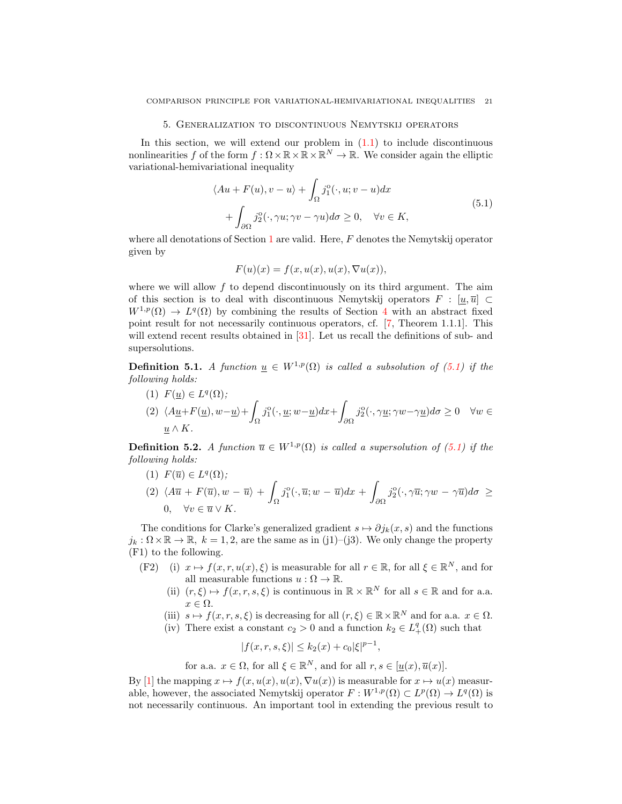#### 5. Generalization to discontinuous Nemytskij operators

In this section, we will extend our problem in  $(1.1)$  to include discontinuous nonlinearities f of the form  $f : \Omega \times \mathbb{R} \times \mathbb{R} \times \mathbb{R}^N \to \mathbb{R}$ . We consider again the elliptic variational-hemivariational inequality

$$
\langle Au + F(u), v - u \rangle + \int_{\Omega} j_1^{\circ}(\cdot, u; v - u) dx + \int_{\partial \Omega} j_2^{\circ}(\cdot, \gamma u; \gamma v - \gamma u) d\sigma \ge 0, \quad \forall v \in K,
$$
 (5.1)

where all denotations of Section [1](#page-0-1) are valid. Here,  $F$  denotes the Nemytskij operator given by

<span id="page-20-0"></span>
$$
F(u)(x) = f(x, u(x), u(x), \nabla u(x)),
$$

where we will allow  $f$  to depend discontinuously on its third argument. The aim of this section is to deal with discontinuous Nemytskij operators  $F : [u, \overline{u}] \subset$  $W^{1,p}(\Omega) \to L^q(\Omega)$  by combining the results of Section [4](#page-8-2) with an abstract fixed point result for not necessarily continuous operators, cf. [\[7,](#page-24-13) Theorem 1.1.1]. This will extend recent results obtained in [\[31\]](#page-25-0). Let us recall the definitions of sub- and supersolutions.

**Definition 5.1.** A function  $\underline{u} \in W^{1,p}(\Omega)$  is called a subsolution of [\(5.1\)](#page-20-0) if the following holds:

(1)  $F(\underline{u}) \in L^q(\Omega);$ (2)  $\langle A_1 \underline{u} + F(\underline{u}), w - \underline{u} \rangle +$ Ω  $j_1^{\mathrm{o}}(\cdot,\underline{u};w-\underline{u})dx +$ ∂Ω  $j_2^{\circ}(\cdot, \gamma \underline{u}; \gamma w - \gamma \underline{u})d\sigma \geq 0 \quad \forall w \in$  $\underline{u} \wedge K$ .

<span id="page-20-1"></span>**Definition 5.2.** A function  $\overline{u} \in W^{1,p}(\Omega)$  is called a supersolution of [\(5.1\)](#page-20-0) if the following holds:

(1)  $F(\overline{u}) \in L^q(\Omega);$ 

$$
(2) \langle A\overline{u} + F(\overline{u}), w - \overline{u} \rangle + \int_{\Omega} j_1^{\circ}(\cdot, \overline{u}; w - \overline{u}) dx + \int_{\partial \Omega} j_2^{\circ}(\cdot, \gamma \overline{u}; \gamma w - \gamma \overline{u}) d\sigma \ge 0, \quad \forall v \in \overline{u} \vee K.
$$

The conditions for Clarke's generalized gradient  $s \mapsto \partial j_k(x, s)$  and the functions  $j_k : \Omega \times \mathbb{R} \to \mathbb{R}$ ,  $k = 1, 2$ , are the same as in (j1)–(j3). We only change the property (F1) to the following.

- (F2) (i)  $x \mapsto f(x, r, u(x), \xi)$  is measurable for all  $r \in \mathbb{R}$ , for all  $\xi \in \mathbb{R}^N$ , and for all measurable functions  $u : \Omega \to \mathbb{R}$ .
	- (ii)  $(r, \xi) \mapsto f(x, r, s, \xi)$  is continuous in  $\mathbb{R} \times \mathbb{R}^N$  for all  $s \in \mathbb{R}$  and for a.a.  $x \in \Omega$ .
	- (iii)  $s \mapsto f(x, r, s, \xi)$  is decreasing for all  $(r, \xi) \in \mathbb{R} \times \mathbb{R}^N$  and for a.a.  $x \in \Omega$ .
	- (iv) There exist a constant  $c_2 > 0$  and a function  $k_2 \in L_+^q(\Omega)$  such that

$$
|f(x,r,s,\xi)| \le k_2(x) + c_0 |\xi|^{p-1},
$$

for a.a.  $x \in \Omega$ , for all  $\xi \in \mathbb{R}^N$ , and for all  $r, s \in [\underline{u}(x), \overline{u}(x)]$ .

By [\[1\]](#page-24-14) the mapping  $x \mapsto f(x, u(x), u(x), \nabla u(x))$  is measurable for  $x \mapsto u(x)$  measurable, however, the associated Nemytskij operator  $F: W^{1,p}(\Omega) \subset L^p(\Omega) \to L^q(\Omega)$  is not necessarily continuous. An important tool in extending the previous result to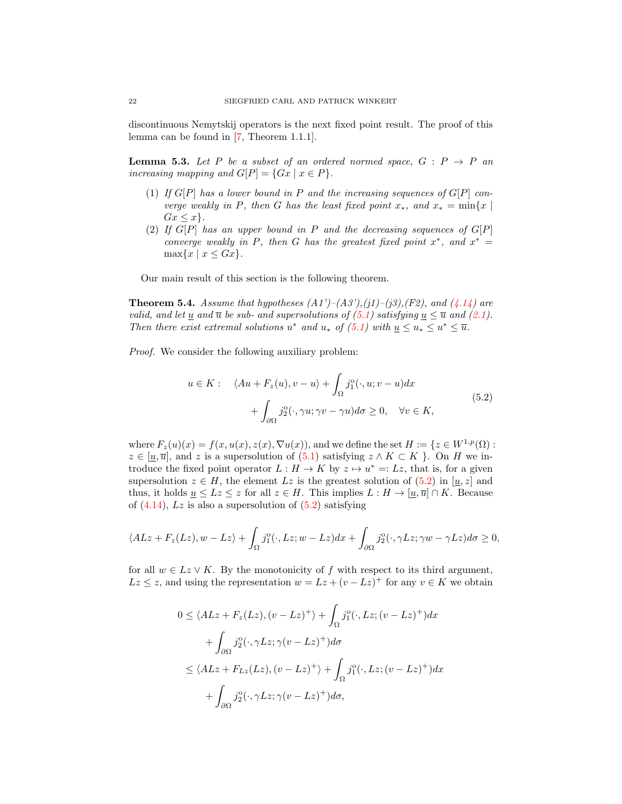discontinuous Nemytskij operators is the next fixed point result. The proof of this lemma can be found in [\[7,](#page-24-13) Theorem 1.1.1].

<span id="page-21-1"></span>**Lemma 5.3.** Let P be a subset of an ordered normed space,  $G : P \rightarrow P$  and increasing mapping and  $G[P] = \{Gx \mid x \in P\}.$ 

- (1) If  $G[P]$  has a lower bound in P and the increasing sequences of  $G[P]$  converge weakly in P, then G has the least fixed point  $x_*$ , and  $x_* = \min\{x \mid$  $Gx \leq x$ .
- (2) If  $G[P]$  has an upper bound in P and the decreasing sequences of  $G[P]$ converge weakly in P, then G has the greatest fixed point  $x^*$ , and  $x^* =$  $\max\{x \mid x \leq Gx\}.$

Our main result of this section is the following theorem.

**Theorem 5.4.** Assume that hypotheses  $(A1')-(A3')$ , $(j1)-(j3)$ , $(F2)$ , and  $(4.14)$  are valid, and let <u>u</u> and  $\overline{u}$  be sub- and supersolutions of [\(5.1\)](#page-20-0) satisfying  $\underline{u} \leq \overline{u}$  and [\(2.1\)](#page-3-0). Then there exist extremal solutions  $u^*$  and  $u_*$  of  $(5.1)$  with  $\underline{u} \le u_* \le u^* \le \overline{u}$ .

Proof. We consider the following auxiliary problem:

<span id="page-21-0"></span>
$$
u \in K: \quad \langle Au + F_z(u), v - u \rangle + \int_{\Omega} j_1^o(\cdot, u; v - u) dx + \int_{\partial \Omega} j_2^o(\cdot, \gamma u; \gamma v - \gamma u) d\sigma \ge 0, \quad \forall v \in K,
$$
 (5.2)

where  $F_z(u)(x) = f(x, u(x), z(x), \nabla u(x))$ , and we define the set  $H := \{z \in W^{1,p}(\Omega) :$  $z \in [\underline{u}, \overline{u}]$ , and z is a supersolution of  $(5.1)$  $(5.1)$  satisfying  $z \wedge K \subset K$ . On H we introduce the fixed point operator  $L: H \to K$  by  $z \mapsto u^* =: Lz$ , that is, for a given supersolution  $z \in H$ , the element Lz is the greatest solution of  $(5.2)$  $(5.2)$  in  $[\underline{u}, z]$  and thus, it holds  $\underline{u} \leq Lz \leq z$  for all  $z \in H$ . This implies  $L : H \to [\underline{u}, \overline{u}] \cap K$ . Because of  $(4.14)$ , Lz is also a supersolution of  $(5.2)$  satisfying

$$
\langle ALz + F_z(Lz), w - Lz \rangle + \int_{\Omega} j_1^{\circ}(\cdot, Lz; w - Lz) dx + \int_{\partial \Omega} j_2^{\circ}(\cdot, \gamma Lz; \gamma w - \gamma Lz) d\sigma \ge 0,
$$

for all  $w \in Lz \vee K$ . By the monotonicity of f with respect to its third argument,  $Lz \leq z$ , and using the representation  $w = Lz + (v - Lz)^{+}$  for any  $v \in K$  we obtain

$$
0 \le \langle ALz + F_z(Lz), (v - Lz)^+ \rangle + \int_{\Omega} j_1^o(\cdot, Lz; (v - Lz)^+) dx
$$
  
+ 
$$
\int_{\partial \Omega} j_2^o(\cdot, \gamma Lz; \gamma(v - Lz)^+) d\sigma
$$
  

$$
\le \langle ALz + F_{Lz}(Lz), (v - Lz)^+ \rangle + \int_{\Omega} j_1^o(\cdot, Lz; (v - Lz)^+) dx
$$
  
+ 
$$
\int_{\partial \Omega} j_2^o(\cdot, \gamma Lz; \gamma(v - Lz)^+) d\sigma,
$$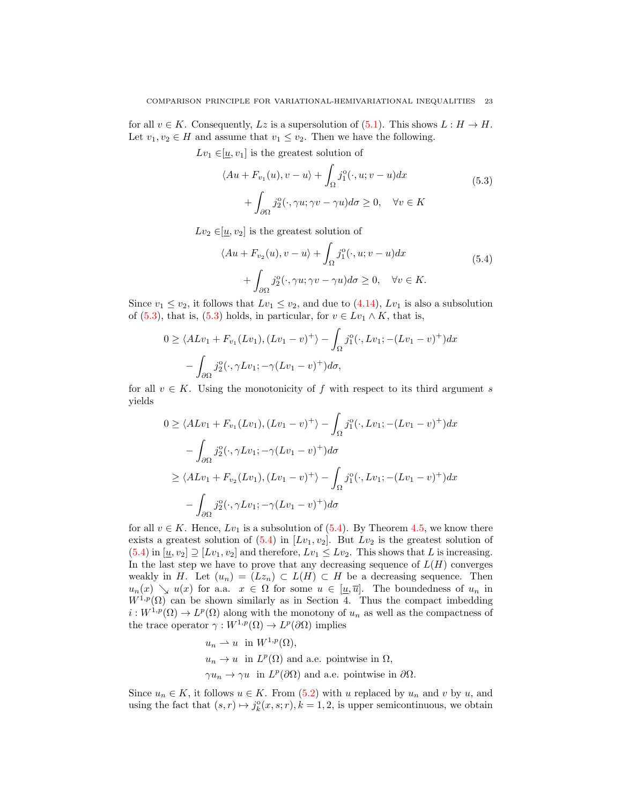for all  $v \in K$ . Consequently, Lz is a supersolution of [\(5.1\)](#page-20-0). This shows  $L : H \to H$ . Let  $v_1, v_2 \in H$  and assume that  $v_1 \le v_2$ . Then we have the following.

 $Lv_1 \in [u, v_1]$  is the greatest solution of

<span id="page-22-0"></span>
$$
\langle Au + F_{v_1}(u), v - u \rangle + \int_{\Omega} j_1^o(\cdot, u; v - u) dx + \int_{\partial \Omega} j_2^o(\cdot, \gamma u; \gamma v - \gamma u) d\sigma \ge 0, \quad \forall v \in K
$$
 (5.3)

 $Lv_2 \in [\underline{u}, v_2]$  is the greatest solution of

<span id="page-22-1"></span>
$$
\langle Au + F_{v_2}(u), v - u \rangle + \int_{\Omega} j_1^o(\cdot, u; v - u) dx + \int_{\partial\Omega} j_2^o(\cdot, \gamma u; \gamma v - \gamma u) d\sigma \ge 0, \quad \forall v \in K.
$$
 (5.4)

Since  $v_1 \le v_2$ , it follows that  $Lv_1 \le v_2$ , and due to [\(4.14\)](#page-12-0),  $Lv_1$  is also a subsolution of [\(5.3\)](#page-22-0), that is, (5.3) holds, in particular, for  $v \in Lv_1 \wedge K$ , that is,

$$
0 \ge \langle ALv_1 + F_{v_1}(Lv_1), (Lv_1 - v)^+ \rangle - \int_{\Omega} j_1^{\circ}(\cdot, Lv_1; -(Lv_1 - v)^+) dx
$$

$$
- \int_{\partial\Omega} j_2^{\circ}(\cdot, \gamma Lv_1; -\gamma (Lv_1 - v)^+) d\sigma,
$$

for all  $v \in K$ . Using the monotonicity of f with respect to its third argument s yields

$$
0 \ge \langle ALv_1 + F_{v_1}(Lv_1), (Lv_1 - v)^+ \rangle - \int_{\Omega} j_1^o(\cdot, Lv_1; -(Lv_1 - v)^+) dx
$$
  

$$
- \int_{\partial \Omega} j_2^o(\cdot, \gamma Lv_1; -\gamma (Lv_1 - v)^+) d\sigma
$$
  

$$
\ge \langle ALv_1 + F_{v_2}(Lv_1), (Lv_1 - v)^+ \rangle - \int_{\Omega} j_1^o(\cdot, Lv_1; -(Lv_1 - v)^+) dx
$$
  

$$
- \int_{\partial \Omega} j_2^o(\cdot, \gamma Lv_1; -\gamma (Lv_1 - v)^+) d\sigma
$$

for all  $v \in K$ . Hence,  $Lv_1$  is a subsolution of [\(5.4\)](#page-22-1). By Theorem [4.5,](#page-19-0) we know there exists a greatest solution of  $(5.4)$  in  $[Lv_1, v_2]$ . But  $Lv_2$  is the greatest solution of [\(5.4\)](#page-22-1) in  $[\underline{u}, v_2] \supseteq [Lv_1, v_2]$  and therefore,  $Lv_1 \leq Lv_2$ . This shows that L is increasing. In the last step we have to prove that any decreasing sequence of  $L(H)$  converges weakly in H. Let  $(u_n) = (Lz_n) \subset L(H) \subset H$  be a decreasing sequence. Then  $u_n(x) \searrow u(x)$  for a.a.  $x \in \Omega$  for some  $u \in [\underline{u}, \overline{u}]$ . The boundedness of  $u_n$  in  $W^{1,p}(\Omega)$  can be shown similarly as in Section 4. Thus the compact imbedding  $i: W^{1,p}(\Omega) \to L^p(\Omega)$  along with the monotony of  $u_n$  as well as the compactness of the trace operator  $\gamma: W^{1,p}(\Omega) \to L^p(\partial\Omega)$  implies

$$
u_n \rightharpoonup u
$$
 in  $W^{1,p}(\Omega)$ ,  
\n $u_n \rightharpoonup u$  in  $L^p(\Omega)$  and a.e. pointwise in  $\Omega$ ,  
\n $\gamma u_n \rightharpoonup \gamma u$  in  $L^p(\partial \Omega)$  and a.e. pointwise in  $\partial \Omega$ .

Since  $u_n \in K$ , it follows  $u \in K$ . From [\(5.2\)](#page-21-0) with u replaced by  $u_n$  and v by u, and using the fact that  $(s, r) \mapsto j_k^{\circ}(x, s; r), k = 1, 2$ , is upper semicontinuous, we obtain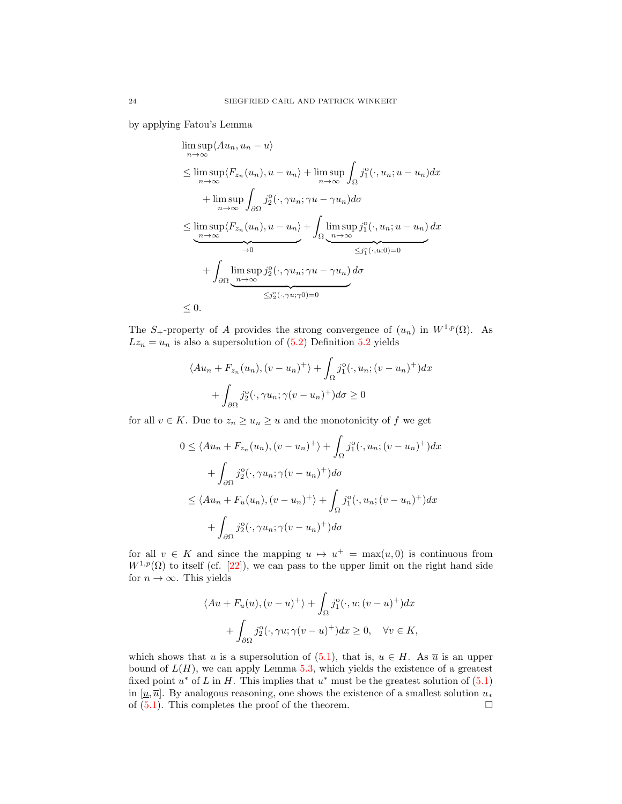by applying Fatou's Lemma

$$
\limsup_{n \to \infty} \langle Au_n, u_n - u \rangle
$$
\n
$$
\leq \limsup_{n \to \infty} \langle F_{z_n}(u_n), u - u_n \rangle + \limsup_{n \to \infty} \int_{\Omega} j_1^o(\cdot, u_n; u - u_n) dx
$$
\n
$$
+ \limsup_{n \to \infty} \int_{\partial \Omega} j_2^o(\cdot, \gamma u_n; \gamma u - \gamma u_n) d\sigma
$$
\n
$$
\leq \limsup_{n \to \infty} \langle F_{z_n}(u_n), u - u_n \rangle + \int_{\Omega} \limsup_{n \to \infty} j_1^o(\cdot, u_n; u - u_n) dx
$$
\n
$$
+ \int_{\partial \Omega} \underbrace{\limsup_{n \to \infty} j_2^o(\cdot, \gamma u_n; \gamma u - \gamma u_n)}_{\leq j_2^o(\cdot, \gamma u; \gamma 0) = 0} d\sigma
$$
\n
$$
\leq 0.
$$

The S<sub>+</sub>-property of A provides the strong convergence of  $(u_n)$  in  $W^{1,p}(\Omega)$ . As  $Lz_n = u_n$  is also a supersolution of [\(5.2\)](#page-21-0) Definition [5.2](#page-20-1) yields

$$
\langle Au_n + F_{z_n}(u_n), (v - u_n)^+ \rangle + \int_{\Omega} j_1^o(\cdot, u_n; (v - u_n)^+) dx
$$

$$
+ \int_{\partial\Omega} j_2^o(\cdot, \gamma u_n; \gamma(v - u_n)^+) d\sigma \ge 0
$$

for all  $v \in K$ . Due to  $z_n \geq u_n \geq u$  and the monotonicity of  $f$  we get

$$
0 \le \langle Au_n + F_{z_n}(u_n), (v - u_n)^+ \rangle + \int_{\Omega} j_1^o(\cdot, u_n; (v - u_n)^+) dx
$$
  
+ 
$$
\int_{\partial \Omega} j_2^o(\cdot, \gamma u_n; \gamma (v - u_n)^+) d\sigma
$$
  

$$
\le \langle Au_n + F_u(u_n), (v - u_n)^+ \rangle + \int_{\Omega} j_1^o(\cdot, u_n; (v - u_n)^+) dx
$$
  
+ 
$$
\int_{\partial \Omega} j_2^o(\cdot, \gamma u_n; \gamma (v - u_n)^+) d\sigma
$$

for all  $v \in K$  and since the mapping  $u \mapsto u^+ = \max(u, 0)$  is continuous from  $W^{1,p}(\Omega)$  to itself (cf. [\[22\]](#page-25-15)), we can pass to the upper limit on the right hand side for  $n \to \infty$ . This yields

$$
\langle Au + F_u(u), (v - u)^+ \rangle + \int_{\Omega} j_1^o(\cdot, u; (v - u)^+) dx
$$
  
+ 
$$
\int_{\partial \Omega} j_2^o(\cdot, \gamma u; \gamma (v - u)^+) dx \ge 0, \quad \forall v \in K,
$$

which shows that u is a supersolution of [\(5.1\)](#page-20-0), that is,  $u \in H$ . As  $\overline{u}$  is an upper bound of  $L(H)$ , we can apply Lemma [5.3,](#page-21-1) which yields the existence of a greatest fixed point  $u^*$  of L in H. This implies that  $u^*$  must be the greatest solution of  $(5.1)$ in [u,  $\overline{u}$ ]. By analogous reasoning, one shows the existence of a smallest solution  $u_*$ of  $(5.1)$ . This completes the proof of the theorem.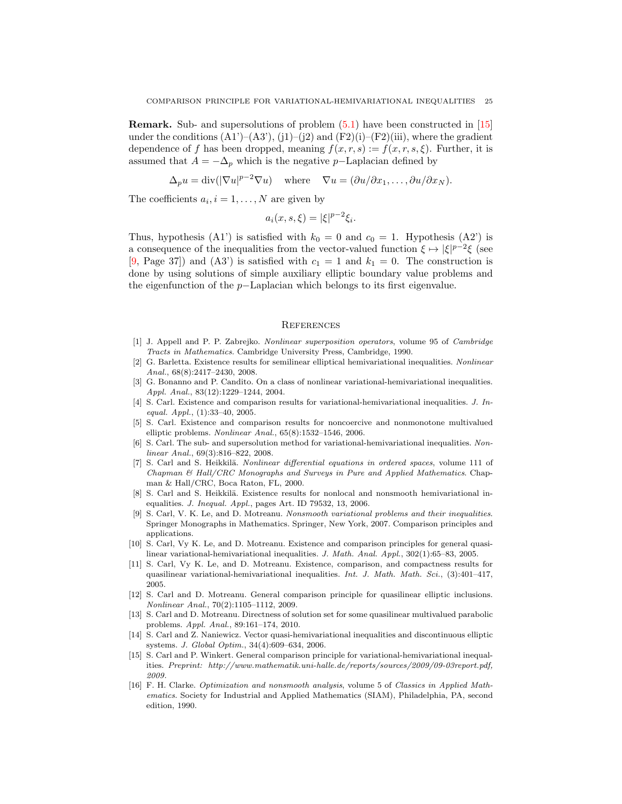Remark. Sub- and supersolutions of problem [\(5.1\)](#page-20-0) have been constructed in [\[15\]](#page-24-15) under the conditions  $(A1')-(A3')$ ,  $(i1)-(i2)$  and  $(F2)(i)-(F2)(iii)$ , where the gradient dependence of f has been dropped, meaning  $f(x, r, s) := f(x, r, s, \xi)$ . Further, it is assumed that  $A = -\Delta_p$  which is the negative p–Laplacian defined by

$$
\Delta_p u = \text{div}(|\nabla u|^{p-2} \nabla u) \quad \text{where} \quad \nabla u = (\partial u/\partial x_1, \dots, \partial u/\partial x_N).
$$

The coefficients  $a_i, i = 1, \ldots, N$  are given by

$$
a_i(x, s, \xi) = |\xi|^{p-2} \xi_i.
$$

Thus, hypothesis (A1') is satisfied with  $k_0 = 0$  and  $c_0 = 1$ . Hypothesis (A2') is a consequence of the inequalities from the vector-valued function  $\xi \mapsto |\xi|^{p-2}\xi$  (see [\[9,](#page-24-5) Page 37]) and (A3') is satisfied with  $c_1 = 1$  and  $k_1 = 0$ . The construction is done by using solutions of simple auxiliary elliptic boundary value problems and the eigenfunction of the p−Laplacian which belongs to its first eigenvalue.

#### **REFERENCES**

- <span id="page-24-14"></span>[1] J. Appell and P. P. Zabrejko. Nonlinear superposition operators, volume 95 of Cambridge Tracts in Mathematics. Cambridge University Press, Cambridge, 1990.
- <span id="page-24-10"></span>[2] G. Barletta. Existence results for semilinear elliptical hemivariational inequalities. Nonlinear Anal., 68(8):2417–2430, 2008.
- <span id="page-24-7"></span>[3] G. Bonanno and P. Candito. On a class of nonlinear variational-hemivariational inequalities. Appl. Anal., 83(12):1229–1244, 2004.
- <span id="page-24-4"></span>[4] S. Carl. Existence and comparison results for variational-hemivariational inequalities. J. Inequal. Appl., (1):33–40, 2005.
- <span id="page-24-3"></span>[5] S. Carl. Existence and comparison results for noncoercive and nonmonotone multivalued elliptic problems. Nonlinear Anal., 65(8):1532–1546, 2006.
- <span id="page-24-1"></span>[6] S. Carl. The sub- and supersolution method for variational-hemivariational inequalities. Nonlinear Anal., 69(3):816–822, 2008.
- <span id="page-24-13"></span>[7] S. Carl and S. Heikkilä. Nonlinear differential equations in ordered spaces, volume 111 of Chapman & Hall/CRC Monographs and Surveys in Pure and Applied Mathematics. Chapman & Hall/CRC, Boca Raton, FL, 2000.
- <span id="page-24-2"></span>[8] S. Carl and S. Heikkilä. Existence results for nonlocal and nonsmooth hemivariational inequalities. J. Inequal. Appl., pages Art. ID 79532, 13, 2006.
- <span id="page-24-5"></span>[9] S. Carl, V. K. Le, and D. Motreanu. Nonsmooth variational problems and their inequalities. Springer Monographs in Mathematics. Springer, New York, 2007. Comparison principles and applications.
- <span id="page-24-8"></span>[10] S. Carl, Vy K. Le, and D. Motreanu. Existence and comparison principles for general quasilinear variational-hemivariational inequalities. J. Math. Anal. Appl., 302(1):65–83, 2005.
- <span id="page-24-9"></span>[11] S. Carl, Vy K. Le, and D. Motreanu. Existence, comparison, and compactness results for quasilinear variational-hemivariational inequalities. Int. J. Math. Math. Sci., (3):401–417, 2005.
- <span id="page-24-6"></span>[12] S. Carl and D. Motreanu. General comparison principle for quasilinear elliptic inclusions. Nonlinear Anal., 70(2):1105–1112, 2009.
- <span id="page-24-12"></span>[13] S. Carl and D. Motreanu. Directness of solution set for some quasilinear multivalued parabolic problems. Appl. Anal., 89:161–174, 2010.
- <span id="page-24-11"></span>[14] S. Carl and Z. Naniewicz. Vector quasi-hemivariational inequalities and discontinuous elliptic systems. J. Global Optim., 34(4):609–634, 2006.
- <span id="page-24-15"></span>[15] S. Carl and P. Winkert. General comparison principle for variational-hemivariational inequalities. Preprint: http://www.mathematik.uni-halle.de/reports/sources/2009/09-03report.pdf, 2009.
- <span id="page-24-0"></span>[16] F. H. Clarke. Optimization and nonsmooth analysis, volume 5 of Classics in Applied Mathematics. Society for Industrial and Applied Mathematics (SIAM), Philadelphia, PA, second edition, 1990.